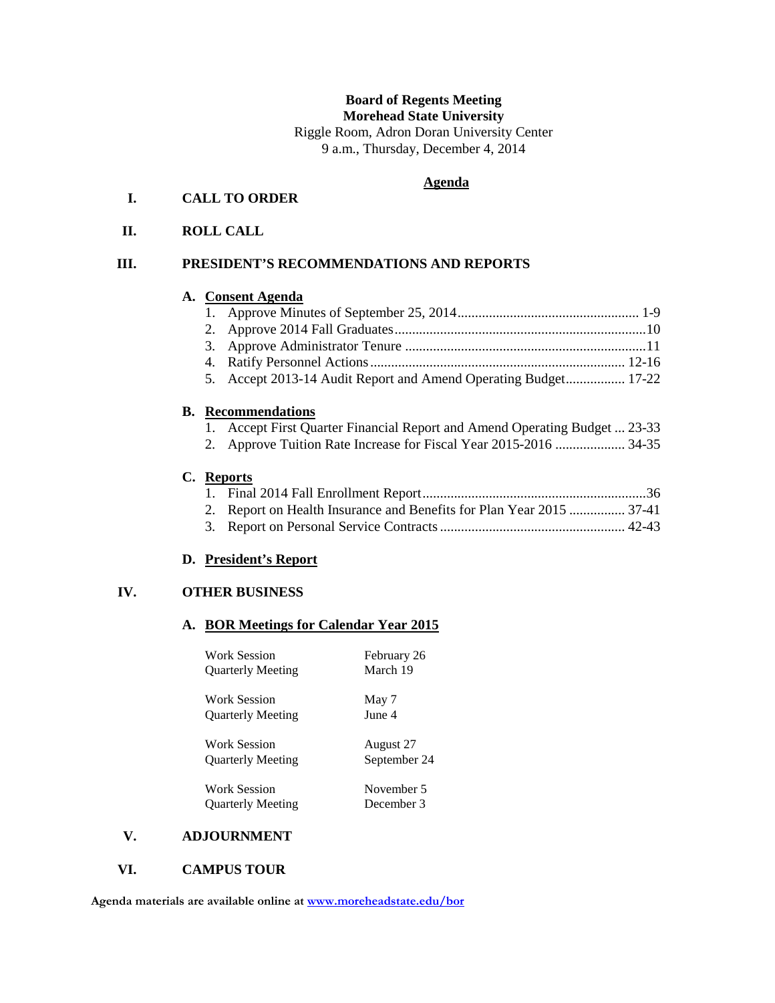# **Board of Regents Meeting Morehead State University**

Riggle Room, Adron Doran University Center 9 a.m., Thursday, December 4, 2014

# **Agenda**

# **I. CALL TO ORDER**

# **II. ROLL CALL**

# **III. PRESIDENT'S RECOMMENDATIONS AND REPORTS**

## **A. Consent Agenda**

|    | 2. |                                                                                                                                                                           |
|----|----|---------------------------------------------------------------------------------------------------------------------------------------------------------------------------|
|    | 3. |                                                                                                                                                                           |
|    | 4. |                                                                                                                                                                           |
|    | 5. | Accept 2013-14 Audit Report and Amend Operating Budget 17-22                                                                                                              |
|    | 2. | <b>B.</b> Recommendations<br>1. Accept First Quarter Financial Report and Amend Operating Budget  23-33<br>Approve Tuition Rate Increase for Fiscal Year 2015-2016  34-35 |
| C. |    | <b>Reports</b>                                                                                                                                                            |
|    |    |                                                                                                                                                                           |
|    | 2. | Report on Health Insurance and Benefits for Plan Year 2015  37-41                                                                                                         |
|    | 3. |                                                                                                                                                                           |

#### **D. President's Report**

#### **IV. OTHER BUSINESS**

#### **A. BOR Meetings for Calendar Year 2015**

| Work Session             | February 26  |
|--------------------------|--------------|
| <b>Quarterly Meeting</b> | March 19     |
| Work Session             | May 7        |
| <b>Quarterly Meeting</b> | June 4       |
| Work Session             | August 27    |
| <b>Quarterly Meeting</b> | September 24 |
| Work Session             | November 5   |
| <b>Quarterly Meeting</b> | December 3   |

# **V. ADJOURNMENT**

# **VI. CAMPUS TOUR**

**Agenda materials are available online a[t www.moreheadstate.edu/bor](http://www.moreheadstate.edu/bor)**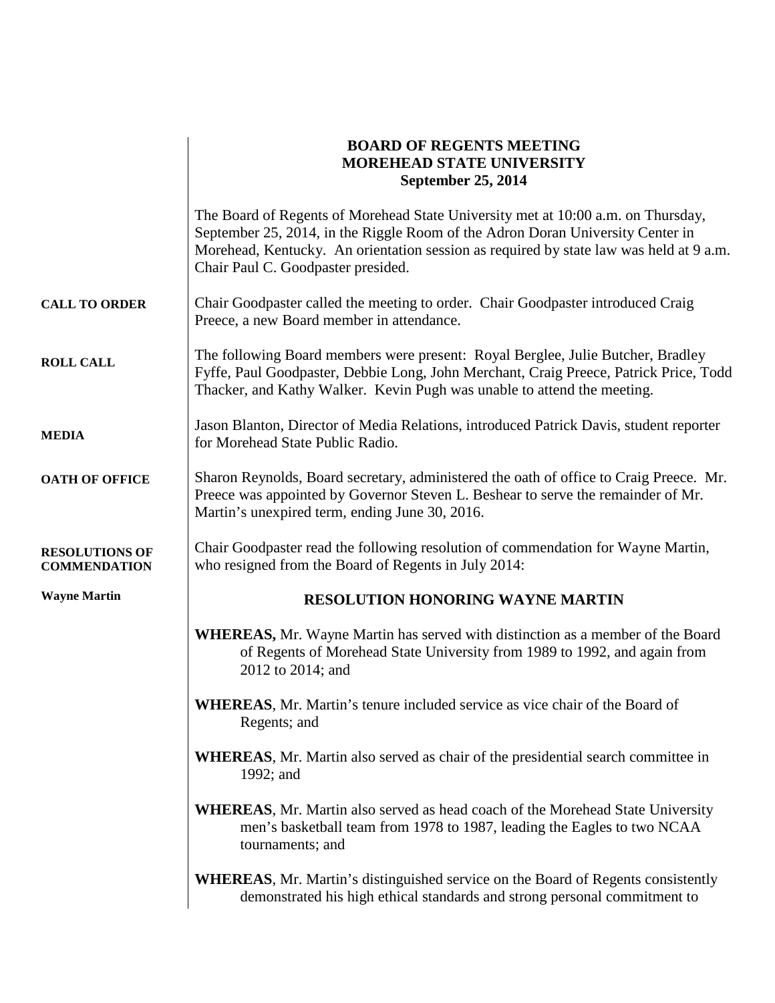|                                              | <b>BOARD OF REGENTS MEETING</b><br><b>MOREHEAD STATE UNIVERSITY</b><br><b>September 25, 2014</b>                                                                                                                                                                                                   |  |  |  |  |  |
|----------------------------------------------|----------------------------------------------------------------------------------------------------------------------------------------------------------------------------------------------------------------------------------------------------------------------------------------------------|--|--|--|--|--|
|                                              | The Board of Regents of Morehead State University met at 10:00 a.m. on Thursday,<br>September 25, 2014, in the Riggle Room of the Adron Doran University Center in<br>Morehead, Kentucky. An orientation session as required by state law was held at 9 a.m.<br>Chair Paul C. Goodpaster presided. |  |  |  |  |  |
| <b>CALL TO ORDER</b>                         | Chair Goodpaster called the meeting to order. Chair Goodpaster introduced Craig<br>Preece, a new Board member in attendance.                                                                                                                                                                       |  |  |  |  |  |
| <b>ROLL CALL</b>                             | The following Board members were present: Royal Berglee, Julie Butcher, Bradley<br>Fyffe, Paul Goodpaster, Debbie Long, John Merchant, Craig Preece, Patrick Price, Todd<br>Thacker, and Kathy Walker. Kevin Pugh was unable to attend the meeting.                                                |  |  |  |  |  |
| <b>MEDIA</b>                                 | Jason Blanton, Director of Media Relations, introduced Patrick Davis, student reporter<br>for Morehead State Public Radio.                                                                                                                                                                         |  |  |  |  |  |
| <b>OATH OF OFFICE</b>                        | Sharon Reynolds, Board secretary, administered the oath of office to Craig Preece. Mr.<br>Preece was appointed by Governor Steven L. Beshear to serve the remainder of Mr.<br>Martin's unexpired term, ending June 30, 2016.                                                                       |  |  |  |  |  |
| <b>RESOLUTIONS OF</b><br><b>COMMENDATION</b> | Chair Goodpaster read the following resolution of commendation for Wayne Martin,<br>who resigned from the Board of Regents in July 2014:                                                                                                                                                           |  |  |  |  |  |
| <b>Wayne Martin</b>                          | <b>RESOLUTION HONORING WAYNE MARTIN</b>                                                                                                                                                                                                                                                            |  |  |  |  |  |
|                                              | <b>WHEREAS, Mr. Wayne Martin has served with distinction as a member of the Board</b><br>of Regents of Morehead State University from 1989 to 1992, and again from<br>2012 to 2014; and                                                                                                            |  |  |  |  |  |
|                                              | <b>WHEREAS, Mr. Martin's tenure included service as vice chair of the Board of</b><br>Regents; and                                                                                                                                                                                                 |  |  |  |  |  |
|                                              | <b>WHEREAS</b> , Mr. Martin also served as chair of the presidential search committee in<br>1992; and                                                                                                                                                                                              |  |  |  |  |  |
|                                              | <b>WHEREAS, Mr. Martin also served as head coach of the Morehead State University</b><br>men's basketball team from 1978 to 1987, leading the Eagles to two NCAA<br>tournaments; and                                                                                                               |  |  |  |  |  |
|                                              | <b>WHEREAS, Mr. Martin's distinguished service on the Board of Regents consistently</b><br>demonstrated his high ethical standards and strong personal commitment to                                                                                                                               |  |  |  |  |  |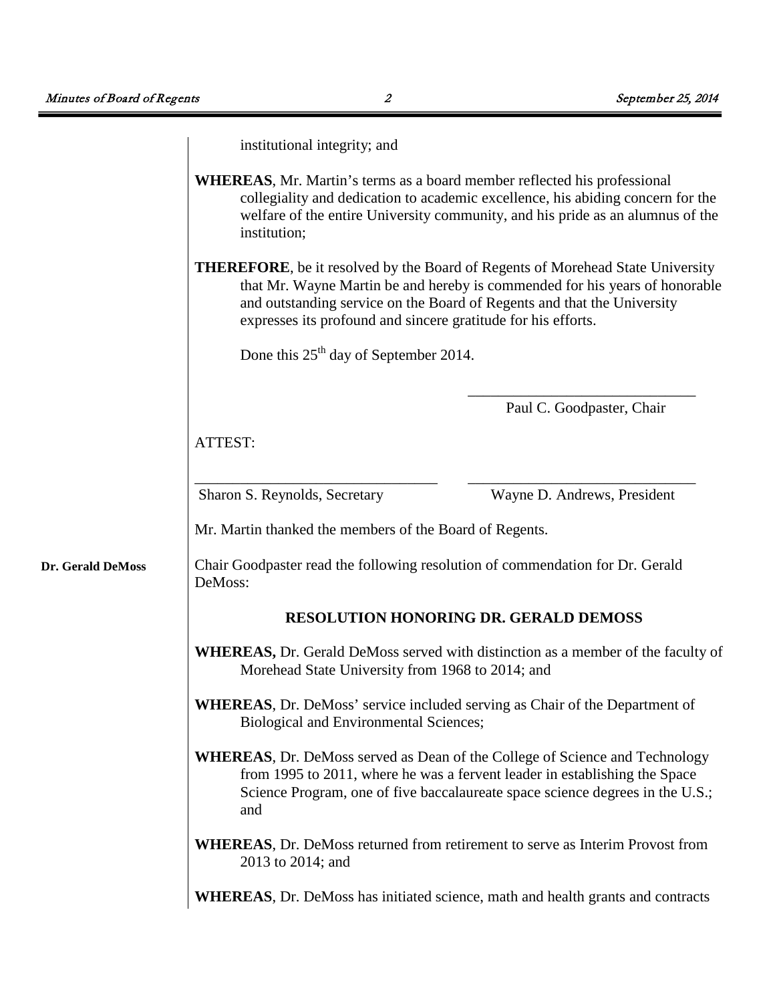institutional integrity; and

**WHEREAS**, Mr. Martin's terms as a board member reflected his professional collegiality and dedication to academic excellence, his abiding concern for the welfare of the entire University community, and his pride as an alumnus of the institution;

**THEREFORE**, be it resolved by the Board of Regents of Morehead State University that Mr. Wayne Martin be and hereby is commended for his years of honorable and outstanding service on the Board of Regents and that the University expresses its profound and sincere gratitude for his efforts.

\_\_\_\_\_\_\_\_\_\_\_\_\_\_\_\_\_\_\_\_\_\_\_\_\_\_\_\_\_\_\_\_ \_\_\_\_\_\_\_\_\_\_\_\_\_\_\_\_\_\_\_\_\_\_\_\_\_\_\_\_\_\_

Done this  $25<sup>th</sup>$  day of September 2014.

\_\_\_\_\_\_\_\_\_\_\_\_\_\_\_\_\_\_\_\_\_\_\_\_\_\_\_\_\_\_ Paul C. Goodpaster, Chair

ATTEST:

**Dr. Gerald DeMoss**

| Sharon S. Reynolds, Secretary                                                                                                                                           | Wayne D. Andrews, President                                                   |
|-------------------------------------------------------------------------------------------------------------------------------------------------------------------------|-------------------------------------------------------------------------------|
| Mr. Martin thanked the members of the Board of Regents.                                                                                                                 |                                                                               |
| Chair Goodpaster read the following resolution of commendation for Dr. Gerald<br>DeMoss:                                                                                |                                                                               |
| <b>RESOLUTION HONORING DR. GERALD DEMOSS</b>                                                                                                                            |                                                                               |
| <b>WHEREAS, Dr.</b> Gerald DeMoss served with distinction as a member of the faculty of<br>Morehead State University from 1968 to 2014; and                             |                                                                               |
| <b>WHEREAS, Dr. DeMoss' service included serving as Chair of the Department of</b><br>Biological and Environmental Sciences;                                            |                                                                               |
| <b>WHEREAS, Dr. DeMoss served as Dean of the College of Science and Technology</b><br>from 1995 to 2011, where he was a fervent leader in establishing the Space<br>and | Science Program, one of five baccalaureate space science degrees in the U.S.; |
| <b>WHEREAS, Dr. DeMoss returned from retirement to serve as Interim Provost from</b><br>2013 to 2014; and                                                               |                                                                               |
| <b>WHEREAS, Dr. DeMoss has initiated science, math and health grants and contracts</b>                                                                                  |                                                                               |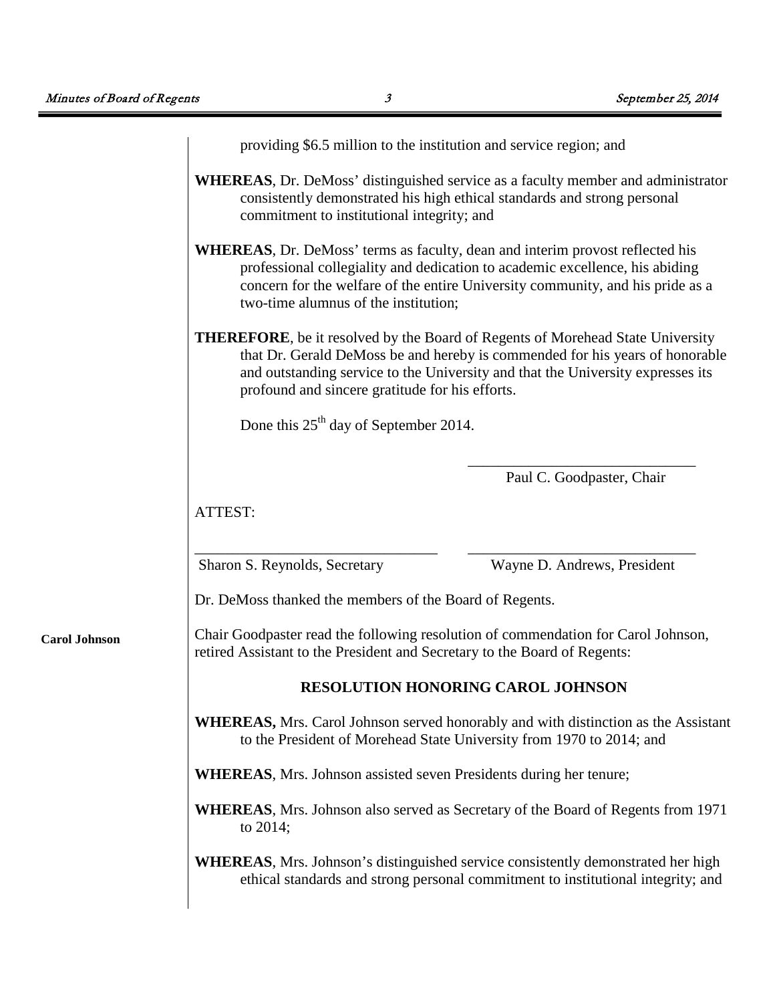|                      | providing \$6.5 million to the institution and service region; and                                                                                                                                                                                                                                           |                                                                                  |  |  |  |  |
|----------------------|--------------------------------------------------------------------------------------------------------------------------------------------------------------------------------------------------------------------------------------------------------------------------------------------------------------|----------------------------------------------------------------------------------|--|--|--|--|
|                      | <b>WHEREAS</b> , Dr. DeMoss' distinguished service as a faculty member and administrator<br>consistently demonstrated his high ethical standards and strong personal<br>commitment to institutional integrity; and                                                                                           |                                                                                  |  |  |  |  |
|                      | <b>WHEREAS</b> , Dr. DeMoss' terms as faculty, dean and interim provost reflected his<br>professional collegiality and dedication to academic excellence, his abiding<br>concern for the welfare of the entire University community, and his pride as a<br>two-time alumnus of the institution;              |                                                                                  |  |  |  |  |
|                      | <b>THEREFORE</b> , be it resolved by the Board of Regents of Morehead State University<br>that Dr. Gerald DeMoss be and hereby is commended for his years of honorable<br>and outstanding service to the University and that the University expresses its<br>profound and sincere gratitude for his efforts. |                                                                                  |  |  |  |  |
|                      | Done this 25 <sup>th</sup> day of September 2014.                                                                                                                                                                                                                                                            |                                                                                  |  |  |  |  |
|                      |                                                                                                                                                                                                                                                                                                              | Paul C. Goodpaster, Chair                                                        |  |  |  |  |
|                      | ATTEST:                                                                                                                                                                                                                                                                                                      |                                                                                  |  |  |  |  |
|                      | Sharon S. Reynolds, Secretary                                                                                                                                                                                                                                                                                | Wayne D. Andrews, President                                                      |  |  |  |  |
|                      | Dr. DeMoss thanked the members of the Board of Regents.                                                                                                                                                                                                                                                      |                                                                                  |  |  |  |  |
| <b>Carol Johnson</b> | Chair Goodpaster read the following resolution of commendation for Carol Johnson,<br>retired Assistant to the President and Secretary to the Board of Regents:                                                                                                                                               |                                                                                  |  |  |  |  |
|                      | <b>RESOLUTION HONORING CAROL JOHNSON</b>                                                                                                                                                                                                                                                                     |                                                                                  |  |  |  |  |
|                      | <b>WHEREAS, Mrs.</b> Carol Johnson served honorably and with distinction as the Assistant<br>to the President of Morehead State University from 1970 to 2014; and                                                                                                                                            |                                                                                  |  |  |  |  |
|                      | <b>WHEREAS</b> , Mrs. Johnson assisted seven Presidents during her tenure;                                                                                                                                                                                                                                   |                                                                                  |  |  |  |  |
|                      | <b>WHEREAS</b> , Mrs. Johnson also served as Secretary of the Board of Regents from 1971<br>to $2014$ ;                                                                                                                                                                                                      |                                                                                  |  |  |  |  |
|                      | <b>WHEREAS</b> , Mrs. Johnson's distinguished service consistently demonstrated her high                                                                                                                                                                                                                     | ethical standards and strong personal commitment to institutional integrity; and |  |  |  |  |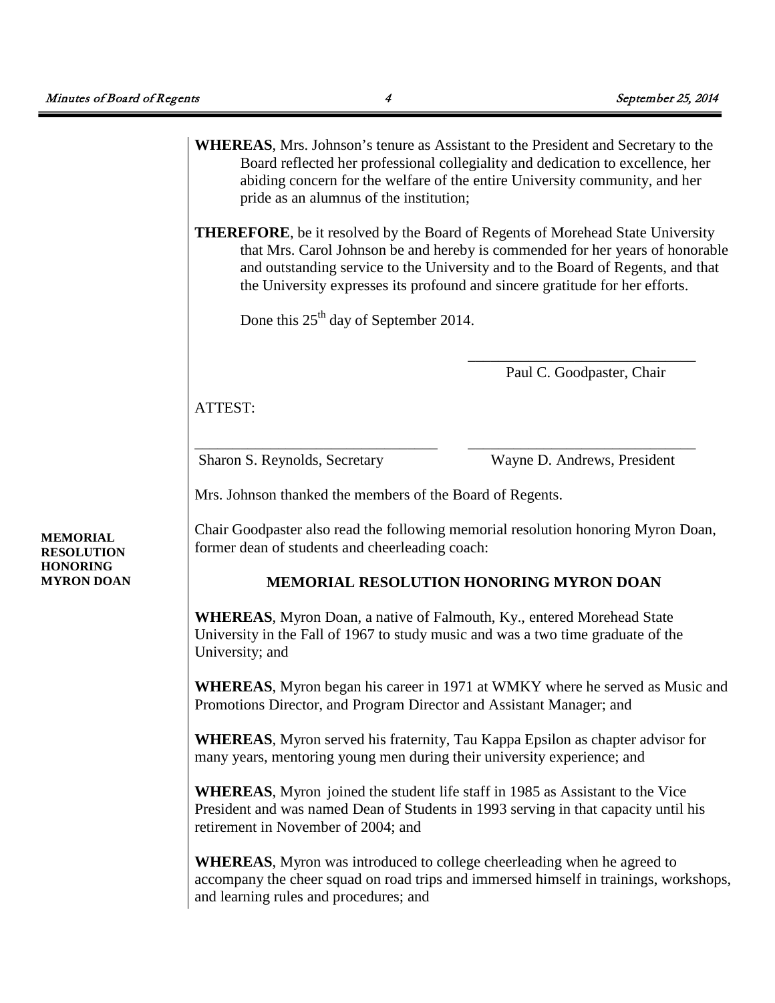**WHEREAS**, Mrs. Johnson's tenure as Assistant to the President and Secretary to the Board reflected her professional collegiality and dedication to excellence, her abiding concern for the welfare of the entire University community, and her pride as an alumnus of the institution;

**THEREFORE**, be it resolved by the Board of Regents of Morehead State University that Mrs. Carol Johnson be and hereby is commended for her years of honorable and outstanding service to the University and to the Board of Regents, and that the University expresses its profound and sincere gratitude for her efforts.

Done this  $25<sup>th</sup>$  day of September 2014.

\_\_\_\_\_\_\_\_\_\_\_\_\_\_\_\_\_\_\_\_\_\_\_\_\_\_\_\_\_\_ Paul C. Goodpaster, Chair

ATTEST:

Sharon S. Reynolds, Secretary Wayne D. Andrews, President

Mrs. Johnson thanked the members of the Board of Regents.

Chair Goodpaster also read the following memorial resolution honoring Myron Doan, former dean of students and cheerleading coach:

\_\_\_\_\_\_\_\_\_\_\_\_\_\_\_\_\_\_\_\_\_\_\_\_\_\_\_\_\_\_\_\_ \_\_\_\_\_\_\_\_\_\_\_\_\_\_\_\_\_\_\_\_\_\_\_\_\_\_\_\_\_\_

# **MEMORIAL RESOLUTION HONORING MYRON DOAN**

**WHEREAS**, Myron Doan, a native of Falmouth, Ky., entered Morehead State University in the Fall of 1967 to study music and was a two time graduate of the University; and

**WHEREAS**, Myron began his career in 1971 at WMKY where he served as Music and Promotions Director, and Program Director and Assistant Manager; and

**WHEREAS**, Myron served his fraternity, Tau Kappa Epsilon as chapter advisor for many years, mentoring young men during their university experience; and

**WHEREAS**, Myron joined the student life staff in 1985 as Assistant to the Vice President and was named Dean of Students in 1993 serving in that capacity until his retirement in November of 2004; and

**WHEREAS**, Myron was introduced to college cheerleading when he agreed to accompany the cheer squad on road trips and immersed himself in trainings, workshops, and learning rules and procedures; and

**MEMORIAL RESOLUTION HONORING MYRON DOAN**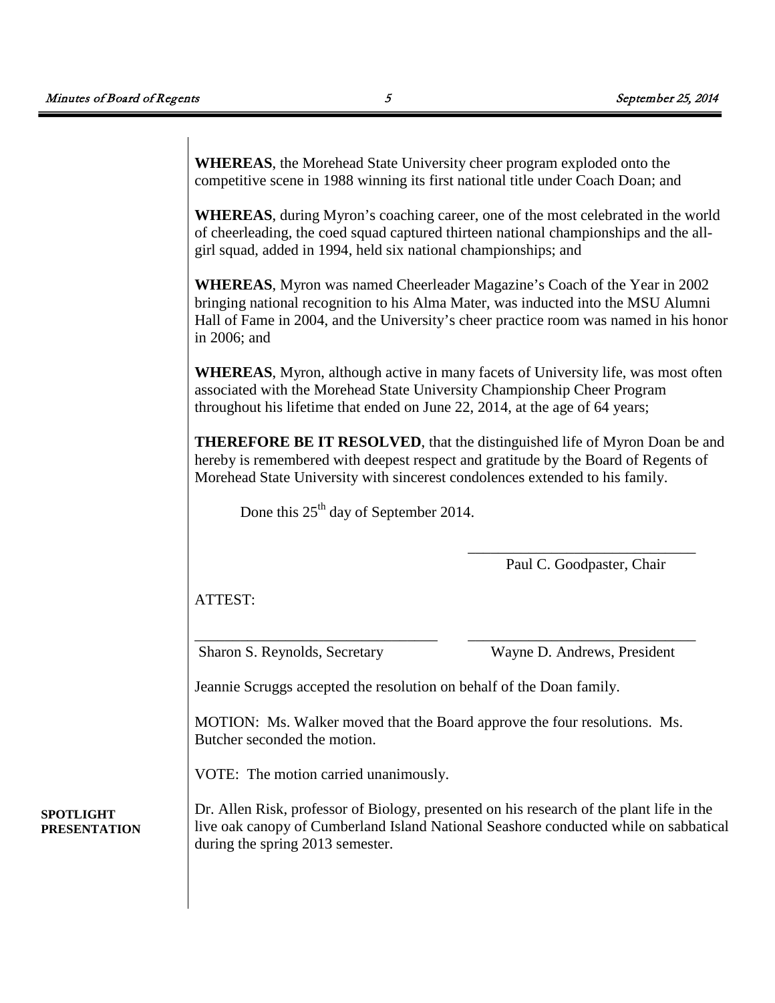**WHEREAS**, the Morehead State University cheer program exploded onto the competitive scene in 1988 winning its first national title under Coach Doan; and

**WHEREAS**, during Myron's coaching career, one of the most celebrated in the world of cheerleading, the coed squad captured thirteen national championships and the allgirl squad, added in 1994, held six national championships; and

**WHEREAS**, Myron was named Cheerleader Magazine's Coach of the Year in 2002 bringing national recognition to his Alma Mater, was inducted into the MSU Alumni Hall of Fame in 2004, and the University's cheer practice room was named in his honor in 2006; and

**WHEREAS**, Myron, although active in many facets of University life, was most often associated with the Morehead State University Championship Cheer Program throughout his lifetime that ended on June 22, 2014, at the age of 64 years;

**THEREFORE BE IT RESOLVED**, that the distinguished life of Myron Doan be and hereby is remembered with deepest respect and gratitude by the Board of Regents of Morehead State University with sincerest condolences extended to his family.

Done this  $25<sup>th</sup>$  day of September 2014.

\_\_\_\_\_\_\_\_\_\_\_\_\_\_\_\_\_\_\_\_\_\_\_\_\_\_\_\_\_\_ Paul C. Goodpaster, Chair

ATTEST:

Sharon S. Reynolds, Secretary Wayne D. Andrews, President

Jeannie Scruggs accepted the resolution on behalf of the Doan family.

MOTION: Ms. Walker moved that the Board approve the four resolutions. Ms. Butcher seconded the motion.

\_\_\_\_\_\_\_\_\_\_\_\_\_\_\_\_\_\_\_\_\_\_\_\_\_\_\_\_\_\_\_\_ \_\_\_\_\_\_\_\_\_\_\_\_\_\_\_\_\_\_\_\_\_\_\_\_\_\_\_\_\_\_

VOTE: The motion carried unanimously.

**SPOTLIGHT PRESENTATION** Dr. Allen Risk, professor of Biology, presented on his research of the plant life in the live oak canopy of Cumberland Island National Seashore conducted while on sabbatical during the spring 2013 semester.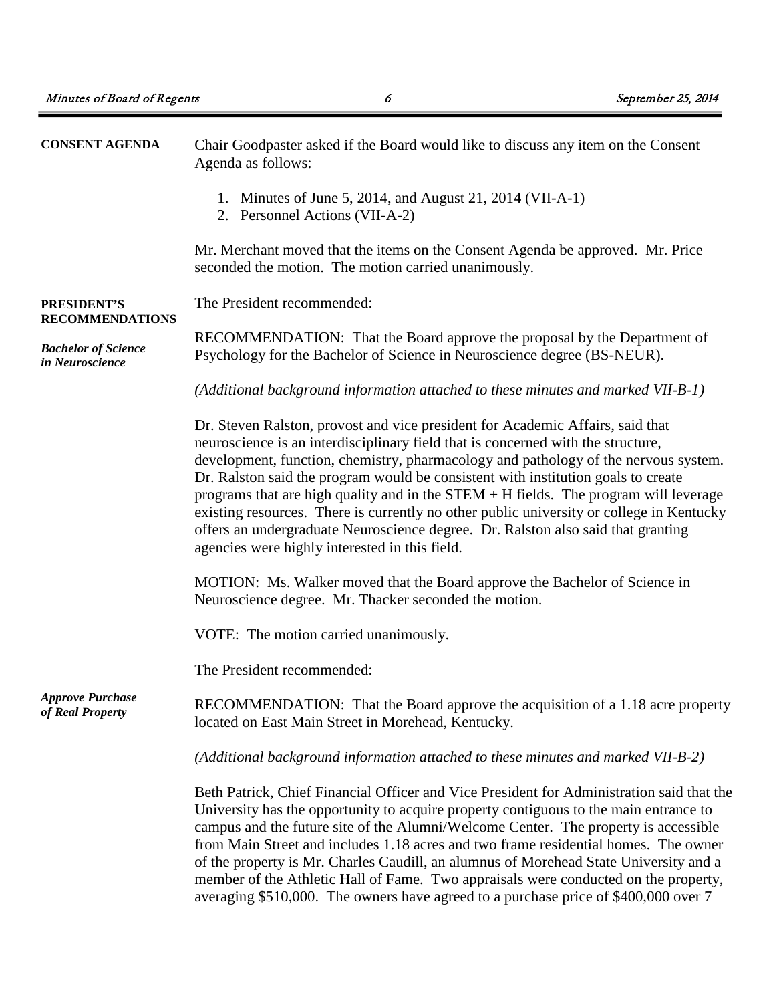| <b>CONSENT AGENDA</b>                         | Chair Goodpaster asked if the Board would like to discuss any item on the Consent<br>Agenda as follows:                                                                                                                                                                                                                                                                                                                                                                                                                                                                                                                                                                    |  |  |  |  |
|-----------------------------------------------|----------------------------------------------------------------------------------------------------------------------------------------------------------------------------------------------------------------------------------------------------------------------------------------------------------------------------------------------------------------------------------------------------------------------------------------------------------------------------------------------------------------------------------------------------------------------------------------------------------------------------------------------------------------------------|--|--|--|--|
|                                               | 1. Minutes of June 5, 2014, and August 21, 2014 (VII-A-1)<br>2. Personnel Actions (VII-A-2)                                                                                                                                                                                                                                                                                                                                                                                                                                                                                                                                                                                |  |  |  |  |
|                                               | Mr. Merchant moved that the items on the Consent Agenda be approved. Mr. Price<br>seconded the motion. The motion carried unanimously.                                                                                                                                                                                                                                                                                                                                                                                                                                                                                                                                     |  |  |  |  |
| PRESIDENT'S<br><b>RECOMMENDATIONS</b>         | The President recommended:                                                                                                                                                                                                                                                                                                                                                                                                                                                                                                                                                                                                                                                 |  |  |  |  |
| <b>Bachelor of Science</b><br>in Neuroscience | RECOMMENDATION: That the Board approve the proposal by the Department of<br>Psychology for the Bachelor of Science in Neuroscience degree (BS-NEUR).                                                                                                                                                                                                                                                                                                                                                                                                                                                                                                                       |  |  |  |  |
|                                               | (Additional background information attached to these minutes and marked VII-B-1)                                                                                                                                                                                                                                                                                                                                                                                                                                                                                                                                                                                           |  |  |  |  |
|                                               | Dr. Steven Ralston, provost and vice president for Academic Affairs, said that<br>neuroscience is an interdisciplinary field that is concerned with the structure,<br>development, function, chemistry, pharmacology and pathology of the nervous system.<br>Dr. Ralston said the program would be consistent with institution goals to create<br>programs that are high quality and in the $STEM + H$ fields. The program will leverage<br>existing resources. There is currently no other public university or college in Kentucky<br>offers an undergraduate Neuroscience degree. Dr. Ralston also said that granting<br>agencies were highly interested in this field. |  |  |  |  |
|                                               | MOTION: Ms. Walker moved that the Board approve the Bachelor of Science in<br>Neuroscience degree. Mr. Thacker seconded the motion.                                                                                                                                                                                                                                                                                                                                                                                                                                                                                                                                        |  |  |  |  |
|                                               | VOTE: The motion carried unanimously.                                                                                                                                                                                                                                                                                                                                                                                                                                                                                                                                                                                                                                      |  |  |  |  |
|                                               | The President recommended:                                                                                                                                                                                                                                                                                                                                                                                                                                                                                                                                                                                                                                                 |  |  |  |  |
| <b>Approve Purchase</b><br>of Real Property   | RECOMMENDATION: That the Board approve the acquisition of a 1.18 acre property<br>located on East Main Street in Morehead, Kentucky.                                                                                                                                                                                                                                                                                                                                                                                                                                                                                                                                       |  |  |  |  |
|                                               | (Additional background information attached to these minutes and marked VII-B-2)                                                                                                                                                                                                                                                                                                                                                                                                                                                                                                                                                                                           |  |  |  |  |
|                                               | Beth Patrick, Chief Financial Officer and Vice President for Administration said that the<br>University has the opportunity to acquire property contiguous to the main entrance to<br>campus and the future site of the Alumni/Welcome Center. The property is accessible<br>from Main Street and includes 1.18 acres and two frame residential homes. The owner<br>of the property is Mr. Charles Caudill, an alumnus of Morehead State University and a<br>member of the Athletic Hall of Fame. Two appraisals were conducted on the property,<br>averaging \$510,000. The owners have agreed to a purchase price of \$400,000 over 7                                    |  |  |  |  |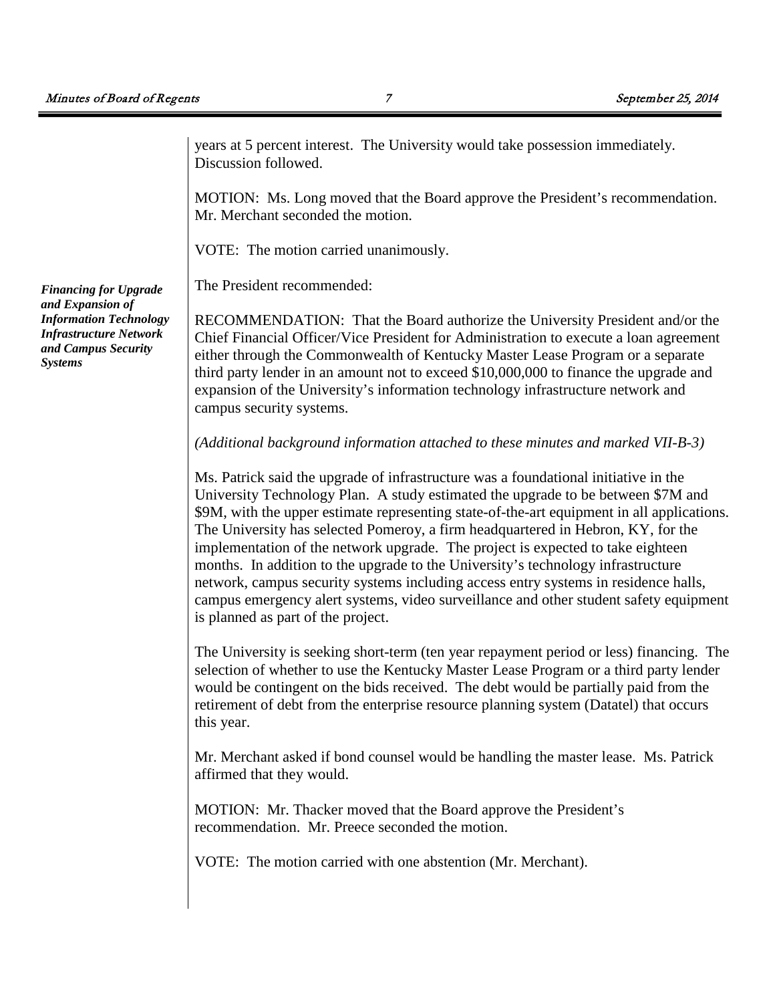years at 5 percent interest. The University would take possession immediately. Discussion followed.

MOTION: Ms. Long moved that the Board approve the President's recommendation. Mr. Merchant seconded the motion.

VOTE: The motion carried unanimously.

The President recommended:

RECOMMENDATION: That the Board authorize the University President and/or the Chief Financial Officer/Vice President for Administration to execute a loan agreement either through the Commonwealth of Kentucky Master Lease Program or a separate third party lender in an amount not to exceed \$10,000,000 to finance the upgrade and expansion of the University's information technology infrastructure network and campus security systems.

*(Additional background information attached to these minutes and marked VII-B-3)*

Ms. Patrick said the upgrade of infrastructure was a foundational initiative in the University Technology Plan. A study estimated the upgrade to be between \$7M and \$9M, with the upper estimate representing state-of-the-art equipment in all applications. The University has selected Pomeroy, a firm headquartered in Hebron, KY, for the implementation of the network upgrade. The project is expected to take eighteen months. In addition to the upgrade to the University's technology infrastructure network, campus security systems including access entry systems in residence halls, campus emergency alert systems, video surveillance and other student safety equipment is planned as part of the project.

The University is seeking short-term (ten year repayment period or less) financing. The selection of whether to use the Kentucky Master Lease Program or a third party lender would be contingent on the bids received. The debt would be partially paid from the retirement of debt from the enterprise resource planning system (Datatel) that occurs this year.

Mr. Merchant asked if bond counsel would be handling the master lease. Ms. Patrick affirmed that they would.

MOTION: Mr. Thacker moved that the Board approve the President's recommendation. Mr. Preece seconded the motion.

VOTE: The motion carried with one abstention (Mr. Merchant).

*Financing for Upgrade and Expansion of Information Technology Infrastructure Network and Campus Security Systems*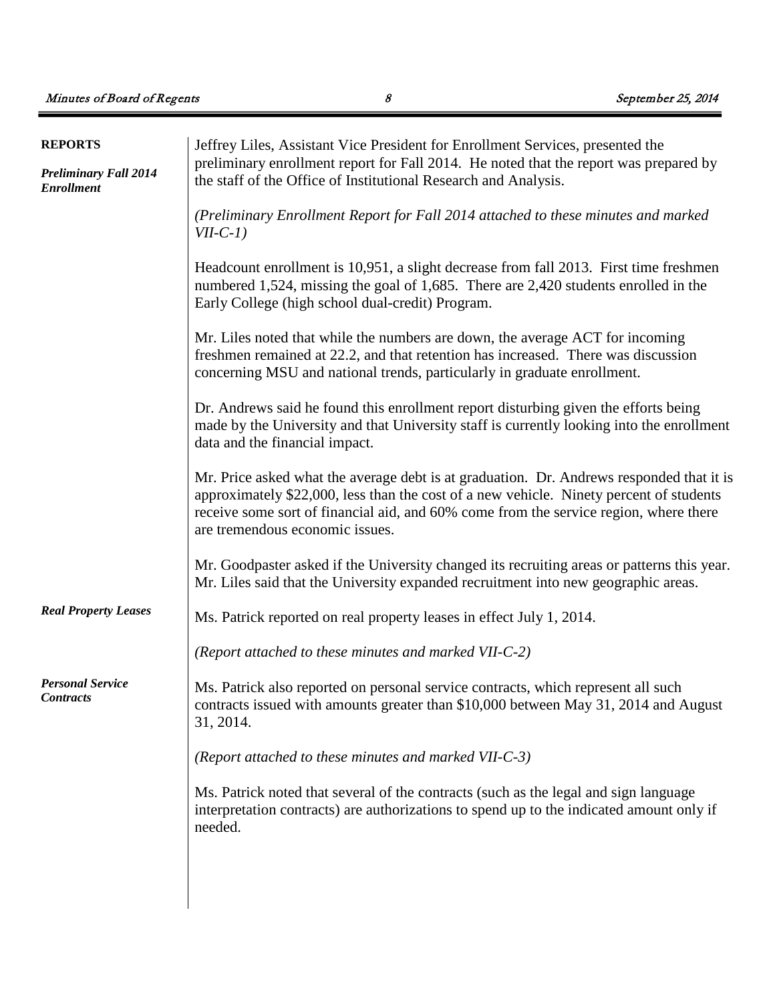| <b>REPORTS</b>                                    | Jeffrey Liles, Assistant Vice President for Enrollment Services, presented the                                                                                                                                                                                                                                  |  |  |  |  |  |
|---------------------------------------------------|-----------------------------------------------------------------------------------------------------------------------------------------------------------------------------------------------------------------------------------------------------------------------------------------------------------------|--|--|--|--|--|
| <b>Preliminary Fall 2014</b><br><b>Enrollment</b> | preliminary enrollment report for Fall 2014. He noted that the report was prepared by<br>the staff of the Office of Institutional Research and Analysis.                                                                                                                                                        |  |  |  |  |  |
|                                                   | (Preliminary Enrollment Report for Fall 2014 attached to these minutes and marked<br>$VII-C-1$ )                                                                                                                                                                                                                |  |  |  |  |  |
|                                                   | Headcount enrollment is 10,951, a slight decrease from fall 2013. First time freshmen<br>numbered 1,524, missing the goal of 1,685. There are 2,420 students enrolled in the<br>Early College (high school dual-credit) Program.                                                                                |  |  |  |  |  |
|                                                   | Mr. Liles noted that while the numbers are down, the average ACT for incoming<br>freshmen remained at 22.2, and that retention has increased. There was discussion<br>concerning MSU and national trends, particularly in graduate enrollment.                                                                  |  |  |  |  |  |
|                                                   | Dr. Andrews said he found this enrollment report disturbing given the efforts being<br>made by the University and that University staff is currently looking into the enrollment<br>data and the financial impact.                                                                                              |  |  |  |  |  |
|                                                   | Mr. Price asked what the average debt is at graduation. Dr. Andrews responded that it is<br>approximately \$22,000, less than the cost of a new vehicle. Ninety percent of students<br>receive some sort of financial aid, and 60% come from the service region, where there<br>are tremendous economic issues. |  |  |  |  |  |
|                                                   | Mr. Goodpaster asked if the University changed its recruiting areas or patterns this year.<br>Mr. Liles said that the University expanded recruitment into new geographic areas.                                                                                                                                |  |  |  |  |  |
| <b>Real Property Leases</b>                       | Ms. Patrick reported on real property leases in effect July 1, 2014.                                                                                                                                                                                                                                            |  |  |  |  |  |
|                                                   | (Report attached to these minutes and marked VII-C-2)                                                                                                                                                                                                                                                           |  |  |  |  |  |
| <b>Personal Service</b><br><i>Contracts</i>       | Ms. Patrick also reported on personal service contracts, which represent all such<br>contracts issued with amounts greater than \$10,000 between May 31, 2014 and August<br>31, 2014.                                                                                                                           |  |  |  |  |  |
|                                                   | (Report attached to these minutes and marked VII-C-3)                                                                                                                                                                                                                                                           |  |  |  |  |  |
|                                                   | Ms. Patrick noted that several of the contracts (such as the legal and sign language<br>interpretation contracts) are authorizations to spend up to the indicated amount only if<br>needed.                                                                                                                     |  |  |  |  |  |
|                                                   |                                                                                                                                                                                                                                                                                                                 |  |  |  |  |  |
|                                                   |                                                                                                                                                                                                                                                                                                                 |  |  |  |  |  |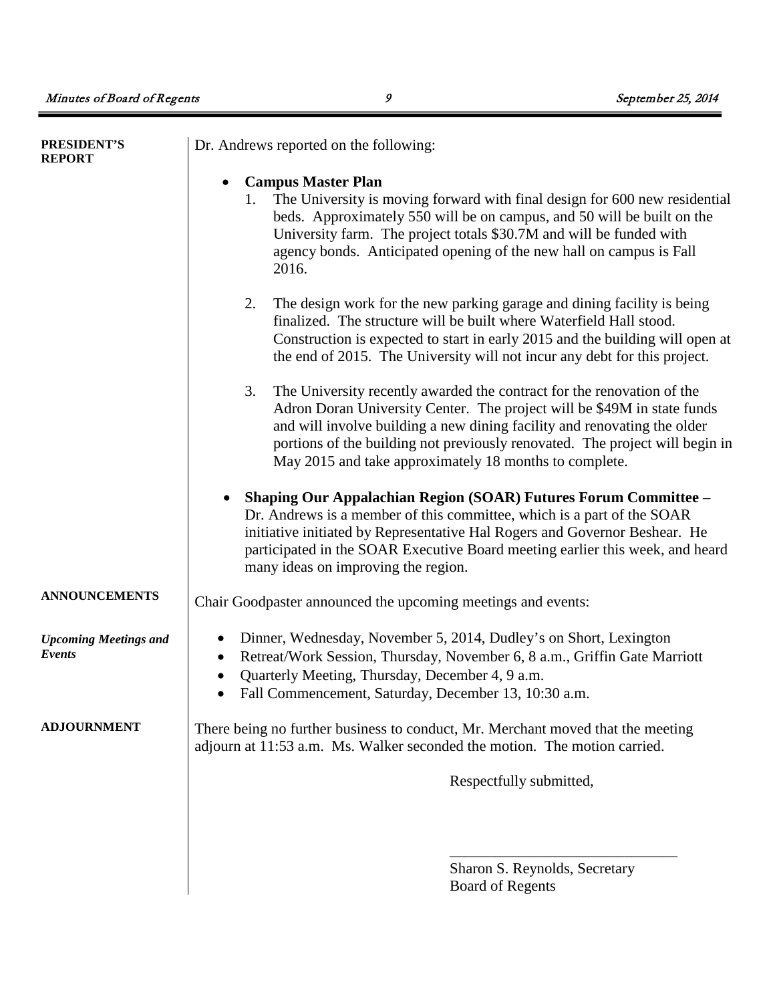| <b>PRESIDENT'S</b><br><b>REPORT</b>    | Dr. Andrews reported on the following:                                                                                                                                                                                                                                                                                                                                        |  |  |  |  |  |
|----------------------------------------|-------------------------------------------------------------------------------------------------------------------------------------------------------------------------------------------------------------------------------------------------------------------------------------------------------------------------------------------------------------------------------|--|--|--|--|--|
|                                        | <b>Campus Master Plan</b><br>$\bullet$<br>The University is moving forward with final design for 600 new residential<br>1.<br>beds. Approximately 550 will be on campus, and 50 will be built on the<br>University farm. The project totals \$30.7M and will be funded with<br>agency bonds. Anticipated opening of the new hall on campus is Fall<br>2016.                   |  |  |  |  |  |
|                                        | The design work for the new parking garage and dining facility is being<br>2.<br>finalized. The structure will be built where Waterfield Hall stood.<br>Construction is expected to start in early 2015 and the building will open at<br>the end of 2015. The University will not incur any debt for this project.                                                            |  |  |  |  |  |
|                                        | The University recently awarded the contract for the renovation of the<br>3.<br>Adron Doran University Center. The project will be \$49M in state funds<br>and will involve building a new dining facility and renovating the older<br>portions of the building not previously renovated. The project will begin in<br>May 2015 and take approximately 18 months to complete. |  |  |  |  |  |
|                                        | <b>Shaping Our Appalachian Region (SOAR) Futures Forum Committee -</b><br>Dr. Andrews is a member of this committee, which is a part of the SOAR<br>initiative initiated by Representative Hal Rogers and Governor Beshear. He<br>participated in the SOAR Executive Board meeting earlier this week, and heard<br>many ideas on improving the region.                        |  |  |  |  |  |
| <b>ANNOUNCEMENTS</b>                   | Chair Goodpaster announced the upcoming meetings and events:                                                                                                                                                                                                                                                                                                                  |  |  |  |  |  |
| <b>Upcoming Meetings and</b><br>Events | Dinner, Wednesday, November 5, 2014, Dudley's on Short, Lexington<br>$\bullet$<br>Retreat/Work Session, Thursday, November 6, 8 a.m., Griffin Gate Marriott<br>$\bullet$<br>Quarterly Meeting, Thursday, December 4, 9 a.m.<br>$\bullet$<br>Fall Commencement, Saturday, December 13, 10:30 a.m.                                                                              |  |  |  |  |  |
| <b>ADJOURNMENT</b>                     | There being no further business to conduct, Mr. Merchant moved that the meeting<br>adjourn at 11:53 a.m. Ms. Walker seconded the motion. The motion carried.                                                                                                                                                                                                                  |  |  |  |  |  |
|                                        | Respectfully submitted,                                                                                                                                                                                                                                                                                                                                                       |  |  |  |  |  |
|                                        |                                                                                                                                                                                                                                                                                                                                                                               |  |  |  |  |  |
|                                        | Sharon S. Reynolds, Secretary<br><b>Board of Regents</b>                                                                                                                                                                                                                                                                                                                      |  |  |  |  |  |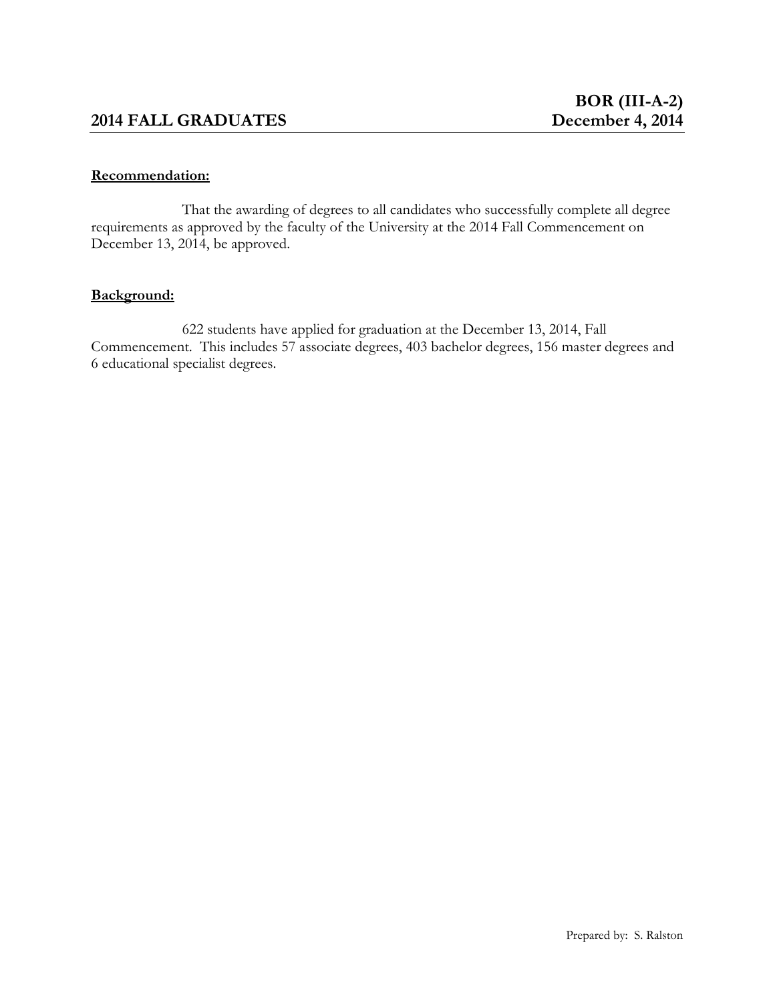That the awarding of degrees to all candidates who successfully complete all degree requirements as approved by the faculty of the University at the 2014 Fall Commencement on December 13, 2014, be approved.

# **Background:**

622 students have applied for graduation at the December 13, 2014, Fall Commencement. This includes 57 associate degrees, 403 bachelor degrees, 156 master degrees and 6 educational specialist degrees.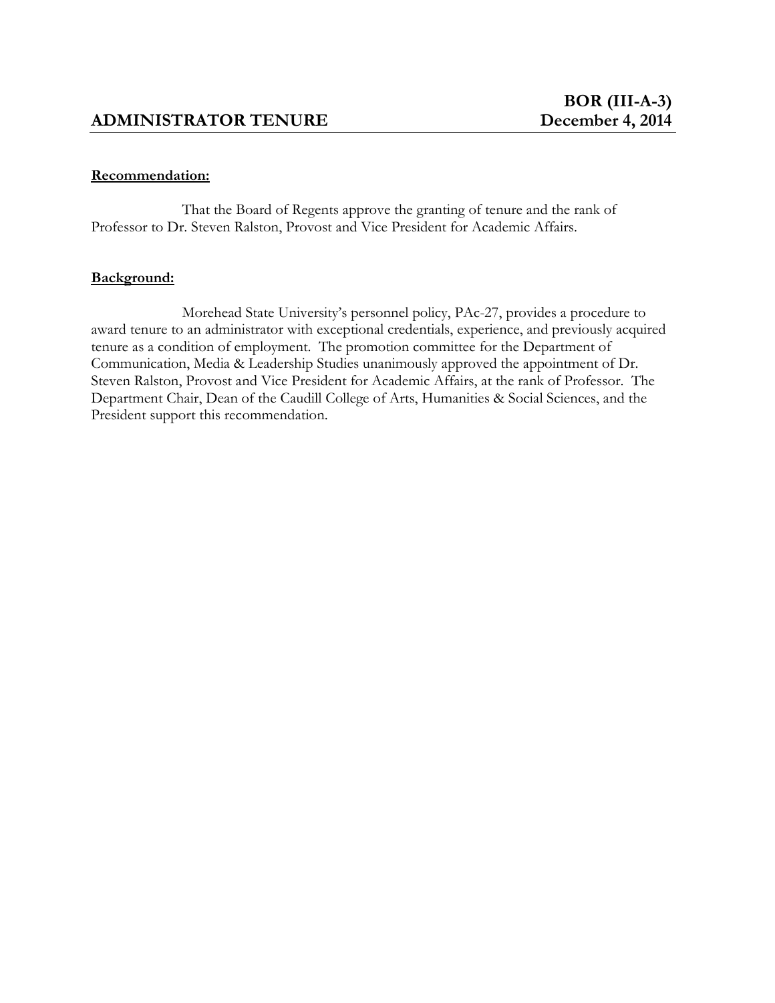That the Board of Regents approve the granting of tenure and the rank of Professor to Dr. Steven Ralston, Provost and Vice President for Academic Affairs.

# **Background:**

Morehead State University's personnel policy, PAc-27, provides a procedure to award tenure to an administrator with exceptional credentials, experience, and previously acquired tenure as a condition of employment. The promotion committee for the Department of Communication, Media & Leadership Studies unanimously approved the appointment of Dr. Steven Ralston, Provost and Vice President for Academic Affairs, at the rank of Professor. The Department Chair, Dean of the Caudill College of Arts, Humanities & Social Sciences, and the President support this recommendation.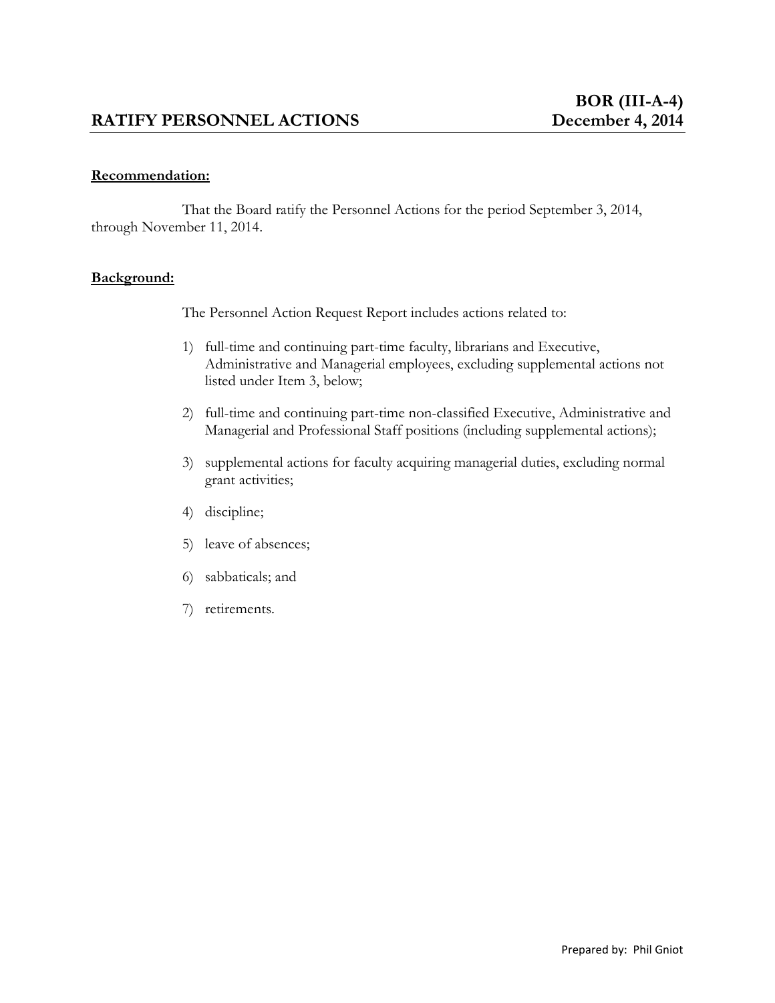That the Board ratify the Personnel Actions for the period September 3, 2014, through November 11, 2014.

# **Background:**

The Personnel Action Request Report includes actions related to:

- 1) full-time and continuing part-time faculty, librarians and Executive, Administrative and Managerial employees, excluding supplemental actions not listed under Item 3, below;
- 2) full-time and continuing part-time non-classified Executive, Administrative and Managerial and Professional Staff positions (including supplemental actions);
- 3) supplemental actions for faculty acquiring managerial duties, excluding normal grant activities;
- 4) discipline;
- 5) leave of absences;
- 6) sabbaticals; and
- 7) retirements.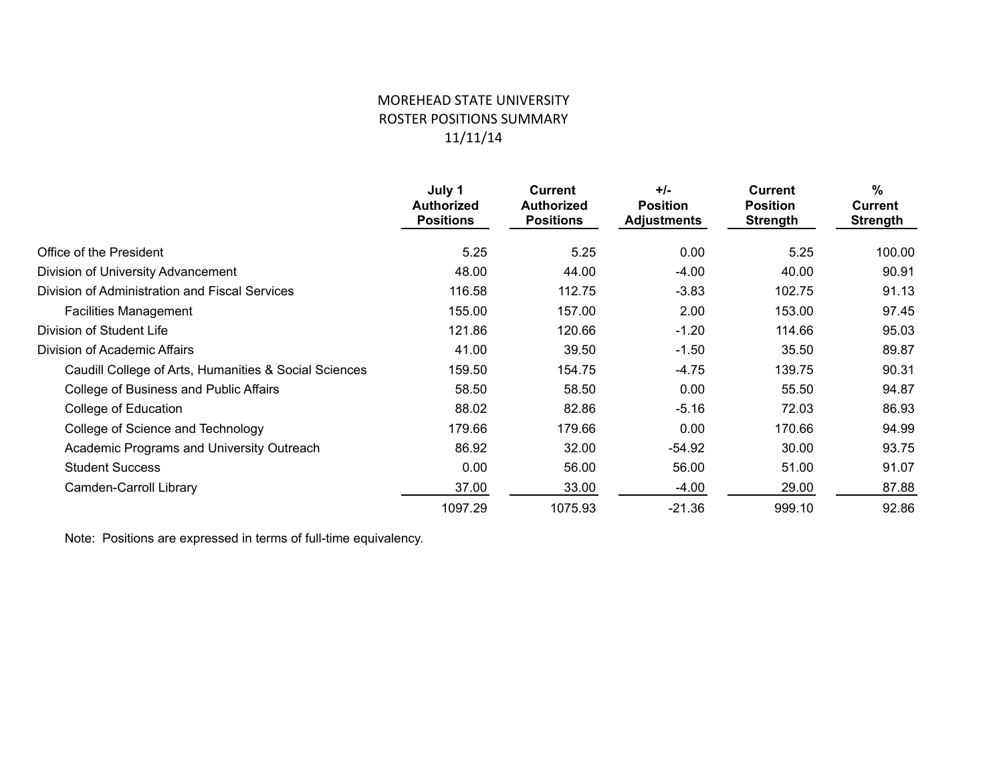# MOREHEAD STATE UNIVERSITY ROSTER POSITIONS SUMMARY 11/11/14

|                                                       | July 1<br><b>Authorized</b><br><b>Positions</b> | <b>Current</b><br><b>Authorized</b><br><b>Positions</b> | $+/-$<br><b>Position</b><br><b>Adjustments</b> | <b>Current</b><br><b>Position</b><br><b>Strength</b> | %<br><b>Current</b><br><b>Strength</b> |
|-------------------------------------------------------|-------------------------------------------------|---------------------------------------------------------|------------------------------------------------|------------------------------------------------------|----------------------------------------|
| Office of the President                               | 5.25                                            | 5.25                                                    | 0.00                                           | 5.25                                                 | 100.00                                 |
| Division of University Advancement                    | 48.00                                           | 44.00                                                   | $-4.00$                                        | 40.00                                                | 90.91                                  |
| Division of Administration and Fiscal Services        | 116.58                                          | 112.75                                                  | $-3.83$                                        | 102.75                                               | 91.13                                  |
| <b>Facilities Management</b>                          | 155.00                                          | 157.00                                                  | 2.00                                           | 153.00                                               | 97.45                                  |
| Division of Student Life                              | 121.86                                          | 120.66                                                  | $-1.20$                                        | 114.66                                               | 95.03                                  |
| Division of Academic Affairs                          | 41.00                                           | 39.50                                                   | $-1.50$                                        | 35.50                                                | 89.87                                  |
| Caudill College of Arts, Humanities & Social Sciences | 159.50                                          | 154.75                                                  | $-4.75$                                        | 139.75                                               | 90.31                                  |
| College of Business and Public Affairs                | 58.50                                           | 58.50                                                   | 0.00                                           | 55.50                                                | 94.87                                  |
| College of Education                                  | 88.02                                           | 82.86                                                   | $-5.16$                                        | 72.03                                                | 86.93                                  |
| College of Science and Technology                     | 179.66                                          | 179.66                                                  | 0.00                                           | 170.66                                               | 94.99                                  |
| Academic Programs and University Outreach             | 86.92                                           | 32.00                                                   | $-54.92$                                       | 30.00                                                | 93.75                                  |
| <b>Student Success</b>                                | 0.00                                            | 56.00                                                   | 56.00                                          | 51.00                                                | 91.07                                  |
| Camden-Carroll Library                                | 37.00                                           | 33.00                                                   | $-4.00$                                        | 29.00                                                | 87.88                                  |
|                                                       | 1097.29                                         | 1075.93                                                 | $-21.36$                                       | 999.10                                               | 92.86                                  |

Note: Positions are expressed in terms of full-time equivalency.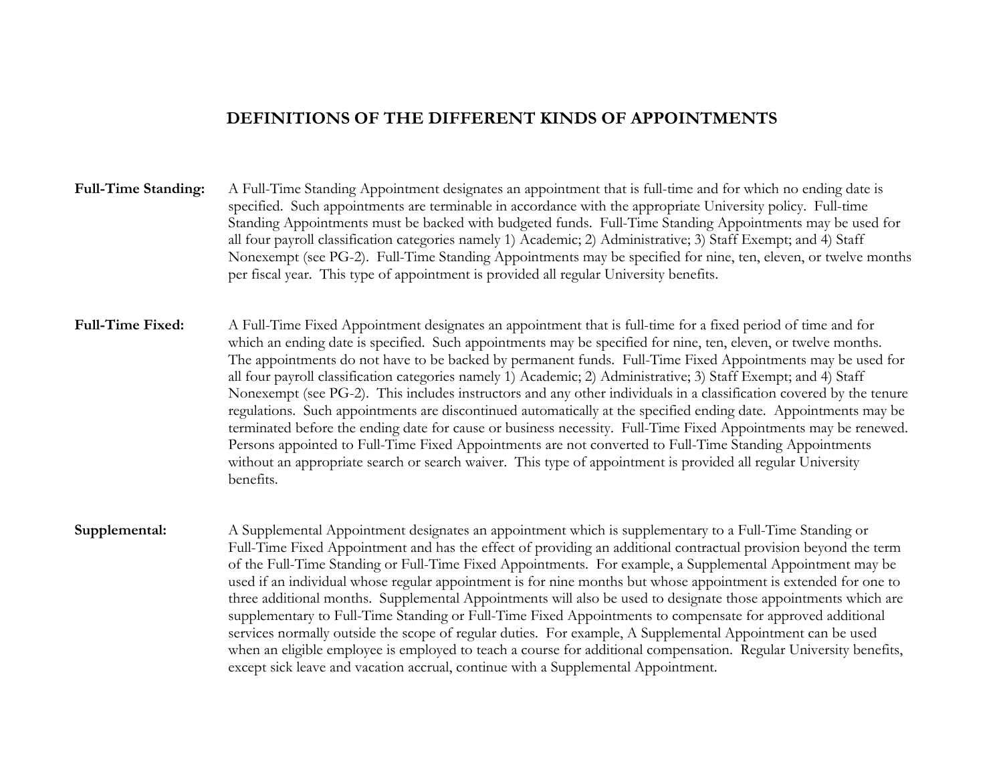# **DEFINITIONS OF THE DIFFERENT KINDS OF APPOINTMENTS**

**Full-Time Standing:** A Full-Time Standing Appointment designates an appointment that is full-time and for which no ending date is specified. Such appointments are terminable in accordance with the appropriate University policy. Full-time Standing Appointments must be backed with budgeted funds. Full-Time Standing Appointments may be used for all four payroll classification categories namely 1) Academic; 2) Administrative; 3) Staff Exempt; and 4) Staff Nonexempt (see PG-2). Full-Time Standing Appointments may be specified for nine, ten, eleven, or twelve months per fiscal year. This type of appointment is provided all regular University benefits. **Full-Time Fixed:** A Full-Time Fixed Appointment designates an appointment that is full-time for a fixed period of time and for which an ending date is specified. Such appointments may be specified for nine, ten, eleven, or twelve months. The appointments do not have to be backed by permanent funds. Full-Time Fixed Appointments may be used for all four payroll classification categories namely 1) Academic; 2) Administrative; 3) Staff Exempt; and 4) Staff Nonexempt (see PG-2). This includes instructors and any other individuals in a classification covered by the tenure regulations. Such appointments are discontinued automatically at the specified ending date. Appointments may be terminated before the ending date for cause or business necessity. Full-Time Fixed Appointments may be renewed. Persons appointed to Full-Time Fixed Appointments are not converted to Full-Time Standing Appointments without an appropriate search or search waiver. This type of appointment is provided all regular University benefits. **Supplemental:** A Supplemental Appointment designates an appointment which is supplementary to a Full-Time Standing or Full-Time Fixed Appointment and has the effect of providing an additional contractual provision beyond the term of the Full-Time Standing or Full-Time Fixed Appointments. For example, a Supplemental Appointment may be

used if an individual whose regular appointment is for nine months but whose appointment is extended for one to three additional months. Supplemental Appointments will also be used to designate those appointments which are supplementary to Full-Time Standing or Full-Time Fixed Appointments to compensate for approved additional services normally outside the scope of regular duties. For example, A Supplemental Appointment can be used when an eligible employee is employed to teach a course for additional compensation. Regular University benefits, except sick leave and vacation accrual, continue with a Supplemental Appointment.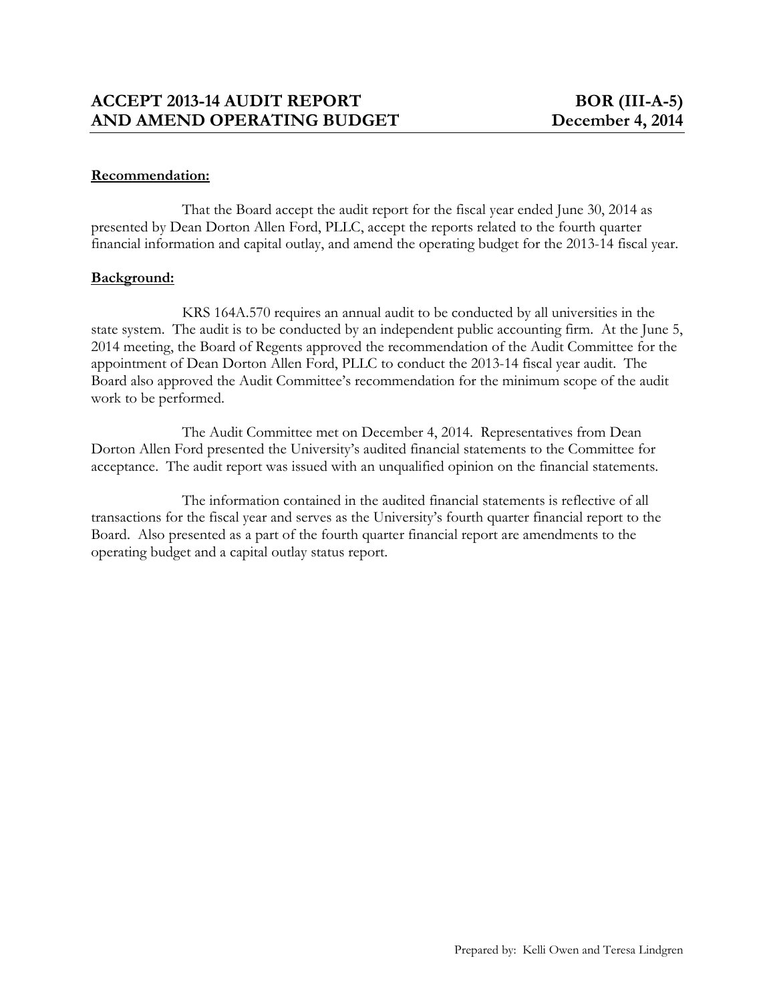That the Board accept the audit report for the fiscal year ended June 30, 2014 as presented by Dean Dorton Allen Ford, PLLC, accept the reports related to the fourth quarter financial information and capital outlay, and amend the operating budget for the 2013-14 fiscal year.

# **Background:**

KRS 164A.570 requires an annual audit to be conducted by all universities in the state system. The audit is to be conducted by an independent public accounting firm. At the June 5, 2014 meeting, the Board of Regents approved the recommendation of the Audit Committee for the appointment of Dean Dorton Allen Ford, PLLC to conduct the 2013-14 fiscal year audit. The Board also approved the Audit Committee's recommendation for the minimum scope of the audit work to be performed.

The Audit Committee met on December 4, 2014. Representatives from Dean Dorton Allen Ford presented the University's audited financial statements to the Committee for acceptance. The audit report was issued with an unqualified opinion on the financial statements.

The information contained in the audited financial statements is reflective of all transactions for the fiscal year and serves as the University's fourth quarter financial report to the Board. Also presented as a part of the fourth quarter financial report are amendments to the operating budget and a capital outlay status report.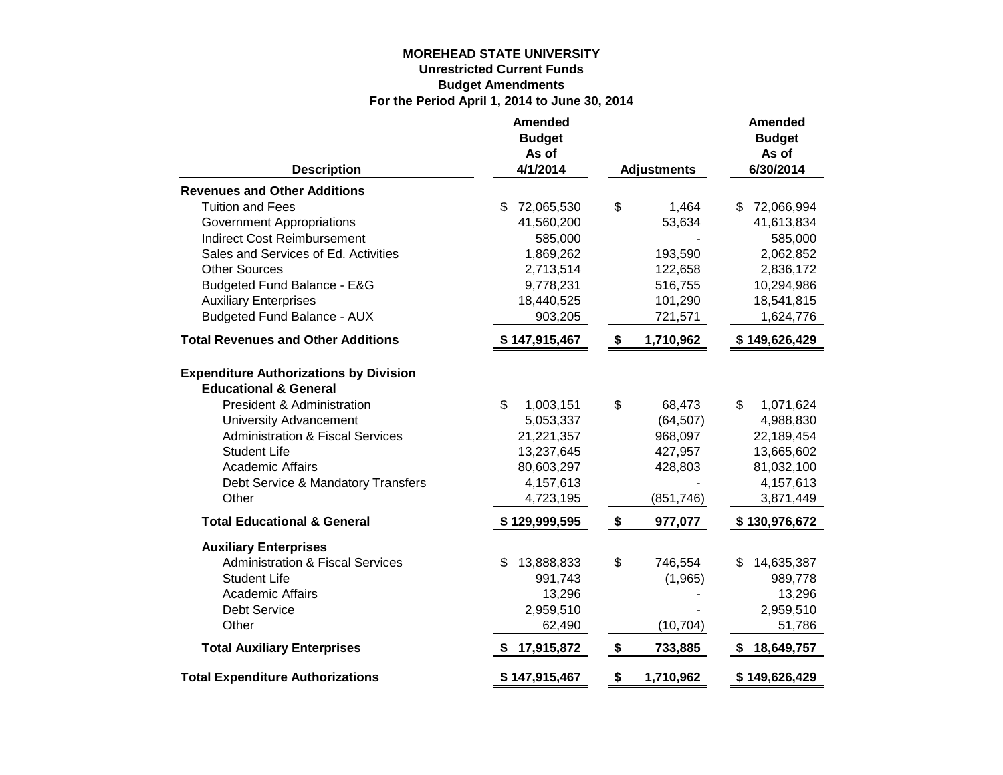## **MOREHEAD STATE UNIVERSITY Unrestricted Current Funds Budget Amendments For the Period April 1, 2014 to June 30, 2014**

| <b>Description</b>                                                                | <b>Amended</b><br><b>Budget</b><br>As of<br>4/1/2014 |                   | <b>Adjustments</b> |    | <b>Amended</b><br><b>Budget</b><br>As of<br>6/30/2014 |
|-----------------------------------------------------------------------------------|------------------------------------------------------|-------------------|--------------------|----|-------------------------------------------------------|
| <b>Revenues and Other Additions</b>                                               |                                                      |                   |                    |    |                                                       |
| <b>Tuition and Fees</b>                                                           | 72,065,530<br>\$                                     | \$                | 1,464              | \$ | 72,066,994                                            |
| <b>Government Appropriations</b>                                                  | 41,560,200                                           |                   | 53,634             |    | 41,613,834                                            |
| <b>Indirect Cost Reimbursement</b>                                                | 585,000                                              |                   |                    |    | 585,000                                               |
| Sales and Services of Ed. Activities                                              | 1,869,262                                            |                   | 193,590            |    | 2,062,852                                             |
| <b>Other Sources</b>                                                              | 2,713,514                                            |                   | 122,658            |    | 2,836,172                                             |
| Budgeted Fund Balance - E&G                                                       | 9,778,231                                            |                   | 516,755            |    | 10,294,986                                            |
| <b>Auxiliary Enterprises</b>                                                      | 18,440,525                                           |                   | 101,290            |    | 18,541,815                                            |
| <b>Budgeted Fund Balance - AUX</b>                                                | 903,205                                              |                   | 721,571            |    | 1,624,776                                             |
| <b>Total Revenues and Other Additions</b>                                         | \$147,915,467                                        | \$                | 1,710,962          |    | \$149,626,429                                         |
| <b>Expenditure Authorizations by Division</b><br><b>Educational &amp; General</b> |                                                      |                   |                    |    |                                                       |
| President & Administration                                                        | \$<br>1,003,151                                      | \$                | 68,473             | \$ | 1,071,624                                             |
| <b>University Advancement</b>                                                     | 5,053,337                                            |                   | (64, 507)          |    | 4,988,830                                             |
| <b>Administration &amp; Fiscal Services</b>                                       | 21,221,357                                           |                   | 968,097            |    | 22,189,454                                            |
| <b>Student Life</b>                                                               | 13,237,645                                           |                   | 427,957            |    | 13,665,602                                            |
| <b>Academic Affairs</b>                                                           | 80,603,297                                           |                   | 428,803            |    | 81,032,100                                            |
| Debt Service & Mandatory Transfers<br>Other                                       | 4,157,613<br>4,723,195                               |                   |                    |    | 4,157,613                                             |
|                                                                                   |                                                      |                   | (851, 746)         |    | 3,871,449                                             |
| <b>Total Educational &amp; General</b>                                            | \$129,999,595                                        | $\boldsymbol{\$}$ | 977,077            |    | \$130,976,672                                         |
| <b>Auxiliary Enterprises</b>                                                      |                                                      |                   |                    |    |                                                       |
| <b>Administration &amp; Fiscal Services</b>                                       | \$<br>13,888,833                                     | \$                | 746,554            | S. | 14,635,387                                            |
| <b>Student Life</b>                                                               | 991,743                                              |                   | (1,965)            |    | 989,778                                               |
| <b>Academic Affairs</b>                                                           | 13,296                                               |                   |                    |    | 13,296                                                |
| <b>Debt Service</b>                                                               | 2,959,510                                            |                   |                    |    | 2,959,510                                             |
| Other                                                                             | 62,490                                               |                   | (10, 704)          |    | 51,786                                                |
| <b>Total Auxiliary Enterprises</b>                                                | 17,915,872                                           | \$                | 733,885            | \$ | 18,649,757                                            |
| <b>Total Expenditure Authorizations</b>                                           | \$147,915,467                                        | \$                | 1,710,962          |    | \$149,626,429                                         |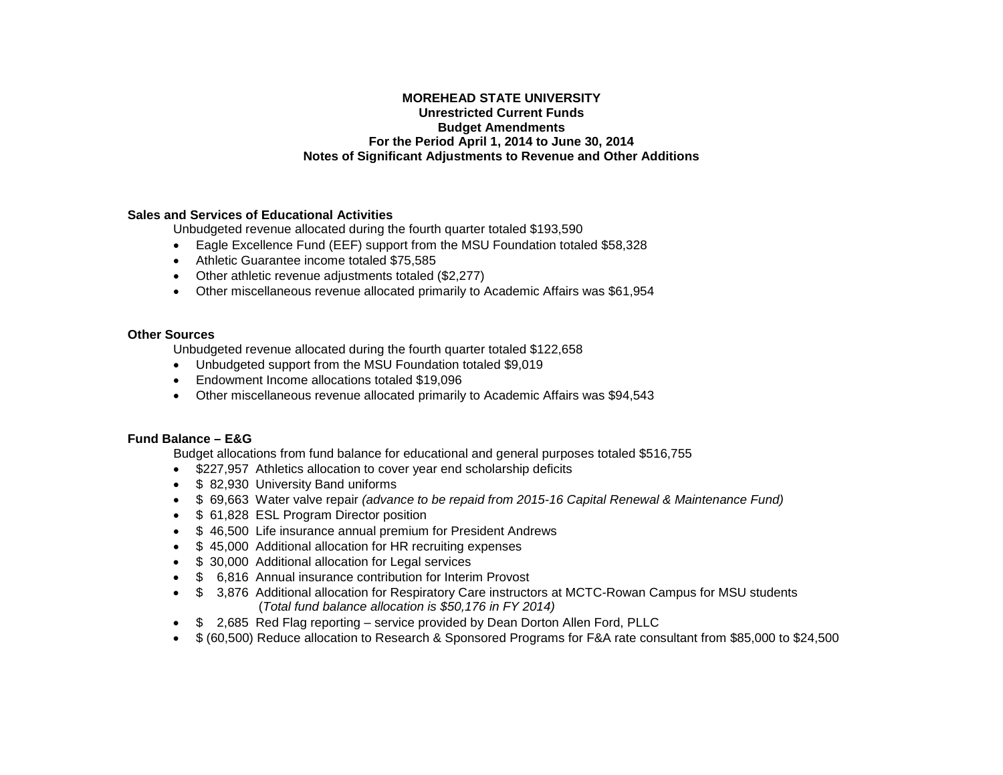#### **MOREHEAD STATE UNIVERSITY Unrestricted Current Funds Budget Amendments For the Period April 1, 2014 to June 30, 2014 Notes of Significant Adjustments to Revenue and Other Additions**

#### **Sales and Services of Educational Activities**

Unbudgeted revenue allocated during the fourth quarter totaled \$193,590

- Eagle Excellence Fund (EEF) support from the MSU Foundation totaled \$58,328
- Athletic Guarantee income totaled \$75,585
- Other athletic revenue adjustments totaled (\$2,277)
- Other miscellaneous revenue allocated primarily to Academic Affairs was \$61,954

#### **Other Sources**

Unbudgeted revenue allocated during the fourth quarter totaled \$122,658

- Unbudgeted support from the MSU Foundation totaled \$9,019
- Endowment Income allocations totaled \$19,096
- Other miscellaneous revenue allocated primarily to Academic Affairs was \$94,543

#### **Fund Balance – E&G**

Budget allocations from fund balance for educational and general purposes totaled \$516,755

- \$227,957 Athletics allocation to cover year end scholarship deficits
- \$ 82,930 University Band uniforms
- \$ 69,663 Water valve repair *(advance to be repaid from 2015-16 Capital Renewal & Maintenance Fund)*
- \$ 61,828 ESL Program Director position
- \$46,500 Life insurance annual premium for President Andrews
- \$45,000 Additional allocation for HR recruiting expenses
- \$ 30,000 Additional allocation for Legal services
- \$ 6,816 Annual insurance contribution for Interim Provost
- \$ 3,876 Additional allocation for Respiratory Care instructors at MCTC-Rowan Campus for MSU students (*Total fund balance allocation is \$50,176 in FY 2014)*
- \$ 2,685 Red Flag reporting service provided by Dean Dorton Allen Ford, PLLC
- \$ (60,500) Reduce allocation to Research & Sponsored Programs for F&A rate consultant from \$85,000 to \$24,500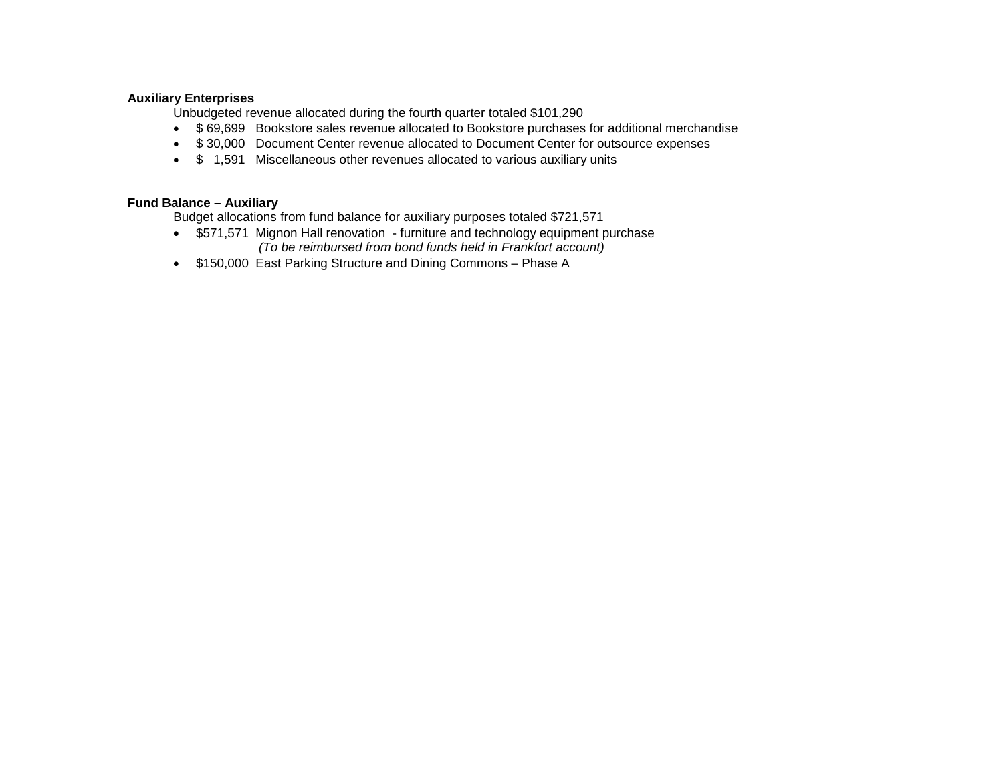# **Auxiliary Enterprises**

Unbudgeted revenue allocated during the fourth quarter totaled \$101,290

- \$ 69,699 Bookstore sales revenue allocated to Bookstore purchases for additional merchandise
- \$ 30,000 Document Center revenue allocated to Document Center for outsource expenses
- \$ 1,591 Miscellaneous other revenues allocated to various auxiliary units

#### **Fund Balance – Auxiliary**

Budget allocations from fund balance for auxiliary purposes totaled \$721,571

- \$571,571 Mignon Hall renovation furniture and technology equipment purchase *(To be reimbursed from bond funds held in Frankfort account)*
- \$150,000 East Parking Structure and Dining Commons Phase A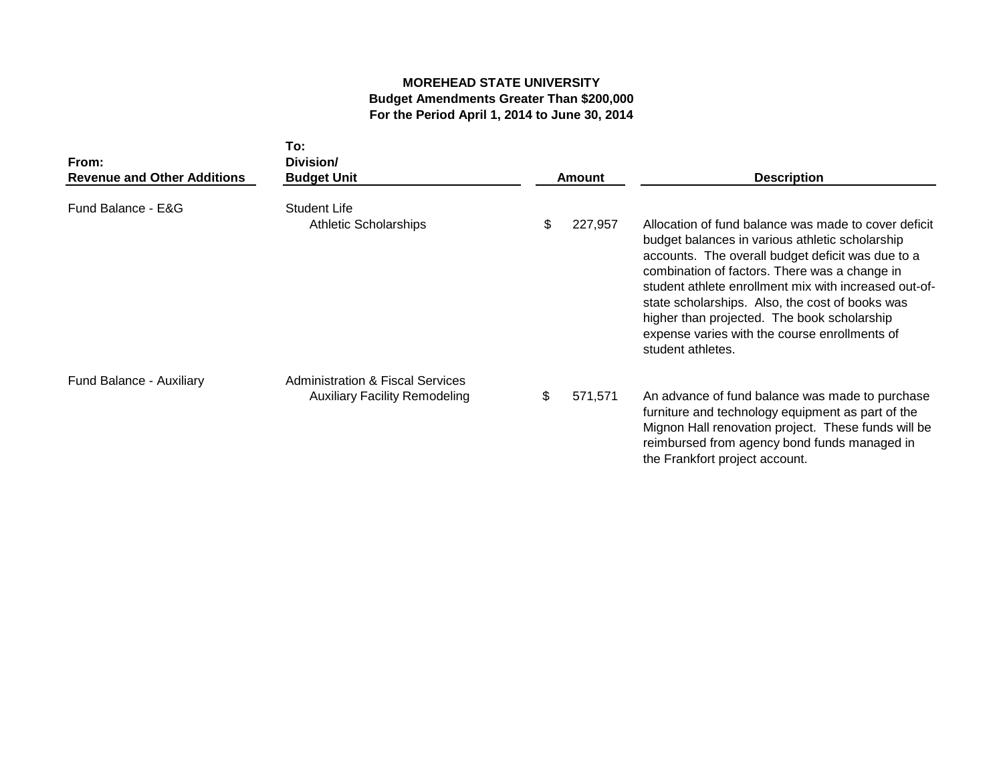# **MOREHEAD STATE UNIVERSITY Budget Amendments Greater Than \$200,000 For the Period April 1, 2014 to June 30, 2014**

| From:<br><b>Revenue and Other Additions</b> | To:<br>Division/<br><b>Budget Unit</b>                                              |    | <b>Amount</b> | <b>Description</b>                                                                                                                                                                                                                                                                                                                                                                                                                             |  |  |
|---------------------------------------------|-------------------------------------------------------------------------------------|----|---------------|------------------------------------------------------------------------------------------------------------------------------------------------------------------------------------------------------------------------------------------------------------------------------------------------------------------------------------------------------------------------------------------------------------------------------------------------|--|--|
| Fund Balance - E&G                          | <b>Student Life</b><br><b>Athletic Scholarships</b>                                 | S  | 227,957       | Allocation of fund balance was made to cover deficit<br>budget balances in various athletic scholarship<br>accounts. The overall budget deficit was due to a<br>combination of factors. There was a change in<br>student athlete enrollment mix with increased out-of-<br>state scholarships. Also, the cost of books was<br>higher than projected. The book scholarship<br>expense varies with the course enrollments of<br>student athletes. |  |  |
| Fund Balance - Auxiliary                    | <b>Administration &amp; Fiscal Services</b><br><b>Auxiliary Facility Remodeling</b> | \$ | 571,571       | An advance of fund balance was made to purchase<br>furniture and technology equipment as part of the<br>Mignon Hall renovation project. These funds will be<br>reimbursed from agency bond funds managed in<br>the Frankfort project account.                                                                                                                                                                                                  |  |  |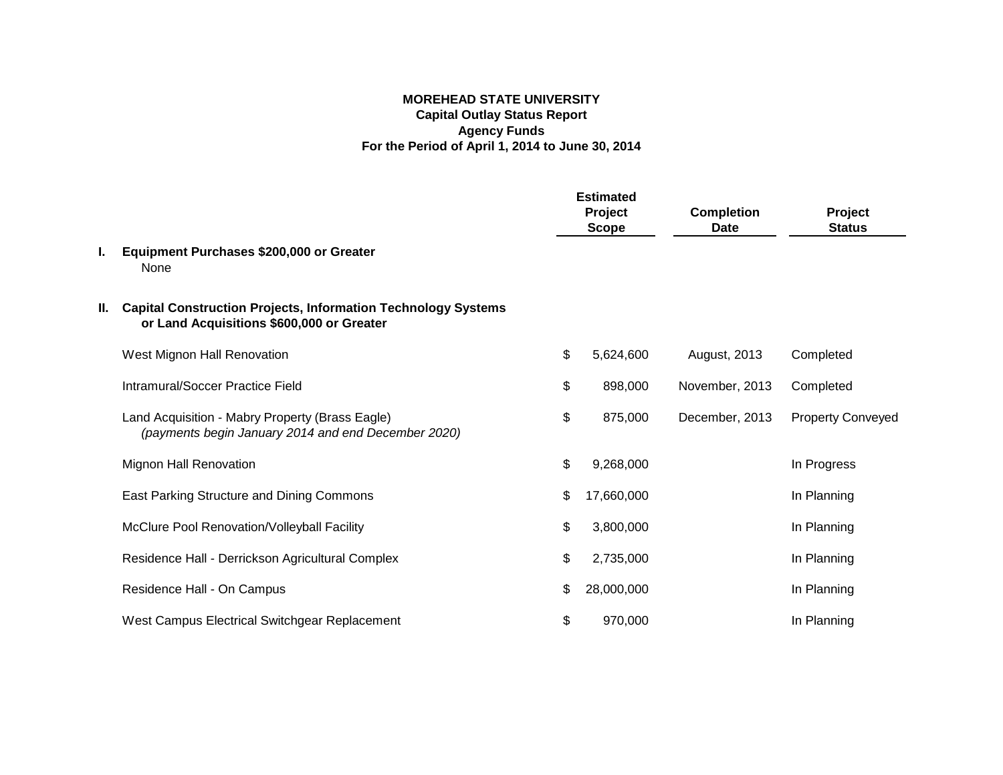## **MOREHEAD STATE UNIVERSITY Capital Outlay Status Report Agency Funds For the Period of April 1, 2014 to June 30, 2014**

|    |                                                                                                                   | <b>Estimated</b><br>Project<br><b>Scope</b> |            | <b>Completion</b><br><b>Date</b> | Project<br><b>Status</b> |  |
|----|-------------------------------------------------------------------------------------------------------------------|---------------------------------------------|------------|----------------------------------|--------------------------|--|
| ı. | Equipment Purchases \$200,000 or Greater<br>None                                                                  |                                             |            |                                  |                          |  |
| Ш. | <b>Capital Construction Projects, Information Technology Systems</b><br>or Land Acquisitions \$600,000 or Greater |                                             |            |                                  |                          |  |
|    | West Mignon Hall Renovation                                                                                       | \$                                          | 5,624,600  | August, 2013                     | Completed                |  |
|    | Intramural/Soccer Practice Field                                                                                  | \$                                          | 898,000    | November, 2013                   | Completed                |  |
|    | Land Acquisition - Mabry Property (Brass Eagle)<br>(payments begin January 2014 and end December 2020)            | \$                                          | 875,000    | December, 2013                   | <b>Property Conveyed</b> |  |
|    | <b>Mignon Hall Renovation</b>                                                                                     | \$                                          | 9,268,000  |                                  | In Progress              |  |
|    | East Parking Structure and Dining Commons                                                                         | \$                                          | 17,660,000 |                                  | In Planning              |  |
|    | McClure Pool Renovation/Volleyball Facility                                                                       | \$                                          | 3,800,000  |                                  | In Planning              |  |
|    | Residence Hall - Derrickson Agricultural Complex                                                                  | \$                                          | 2,735,000  |                                  | In Planning              |  |
|    | Residence Hall - On Campus                                                                                        | \$                                          | 28,000,000 |                                  | In Planning              |  |
|    | West Campus Electrical Switchgear Replacement                                                                     | \$                                          | 970,000    |                                  | In Planning              |  |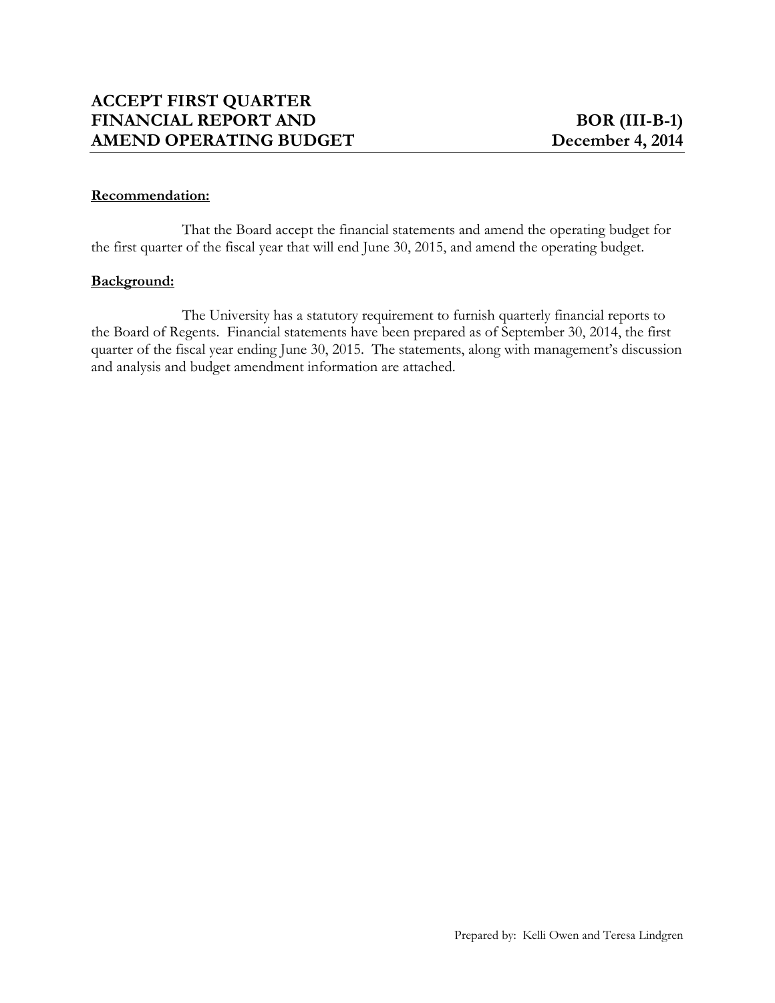That the Board accept the financial statements and amend the operating budget for the first quarter of the fiscal year that will end June 30, 2015, and amend the operating budget.

#### **Background:**

The University has a statutory requirement to furnish quarterly financial reports to the Board of Regents. Financial statements have been prepared as of September 30, 2014, the first quarter of the fiscal year ending June 30, 2015. The statements, along with management's discussion and analysis and budget amendment information are attached.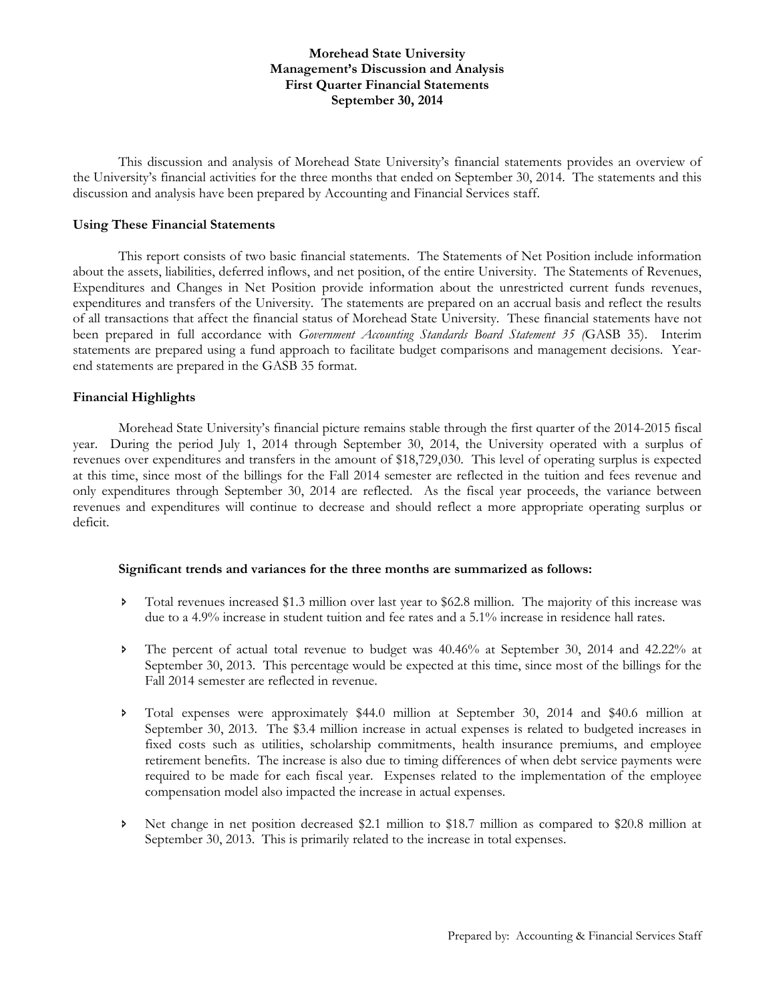#### **Morehead State University Management's Discussion and Analysis First Quarter Financial Statements September 30, 2014**

This discussion and analysis of Morehead State University's financial statements provides an overview of the University's financial activities for the three months that ended on September 30, 2014. The statements and this discussion and analysis have been prepared by Accounting and Financial Services staff.

#### **Using These Financial Statements**

 This report consists of two basic financial statements. The Statements of Net Position include information about the assets, liabilities, deferred inflows, and net position, of the entire University. The Statements of Revenues, Expenditures and Changes in Net Position provide information about the unrestricted current funds revenues, expenditures and transfers of the University. The statements are prepared on an accrual basis and reflect the results of all transactions that affect the financial status of Morehead State University. These financial statements have not been prepared in full accordance with *Government Accounting Standards Board Statement 35 (*GASB 35). Interim statements are prepared using a fund approach to facilitate budget comparisons and management decisions. Yearend statements are prepared in the GASB 35 format.

#### **Financial Highlights**

 Morehead State University's financial picture remains stable through the first quarter of the 2014-2015 fiscal year. During the period July 1, 2014 through September 30, 2014, the University operated with a surplus of revenues over expenditures and transfers in the amount of \$18,729,030. This level of operating surplus is expected at this time, since most of the billings for the Fall 2014 semester are reflected in the tuition and fees revenue and only expenditures through September 30, 2014 are reflected. As the fiscal year proceeds, the variance between revenues and expenditures will continue to decrease and should reflect a more appropriate operating surplus or deficit.

#### **Significant trends and variances for the three months are summarized as follows:**

- Total revenues increased \$1.3 million over last year to \$62.8 million. The majority of this increase was due to a 4.9% increase in student tuition and fee rates and a 5.1% increase in residence hall rates.
- The percent of actual total revenue to budget was 40.46% at September 30, 2014 and 42.22% at September 30, 2013. This percentage would be expected at this time, since most of the billings for the Fall 2014 semester are reflected in revenue.
- Total expenses were approximately \$44.0 million at September 30, 2014 and \$40.6 million at September 30, 2013. The \$3.4 million increase in actual expenses is related to budgeted increases in fixed costs such as utilities, scholarship commitments, health insurance premiums, and employee retirement benefits. The increase is also due to timing differences of when debt service payments were required to be made for each fiscal year. Expenses related to the implementation of the employee compensation model also impacted the increase in actual expenses.
- Net change in net position decreased \$2.1 million to \$18.7 million as compared to \$20.8 million at September 30, 2013. This is primarily related to the increase in total expenses.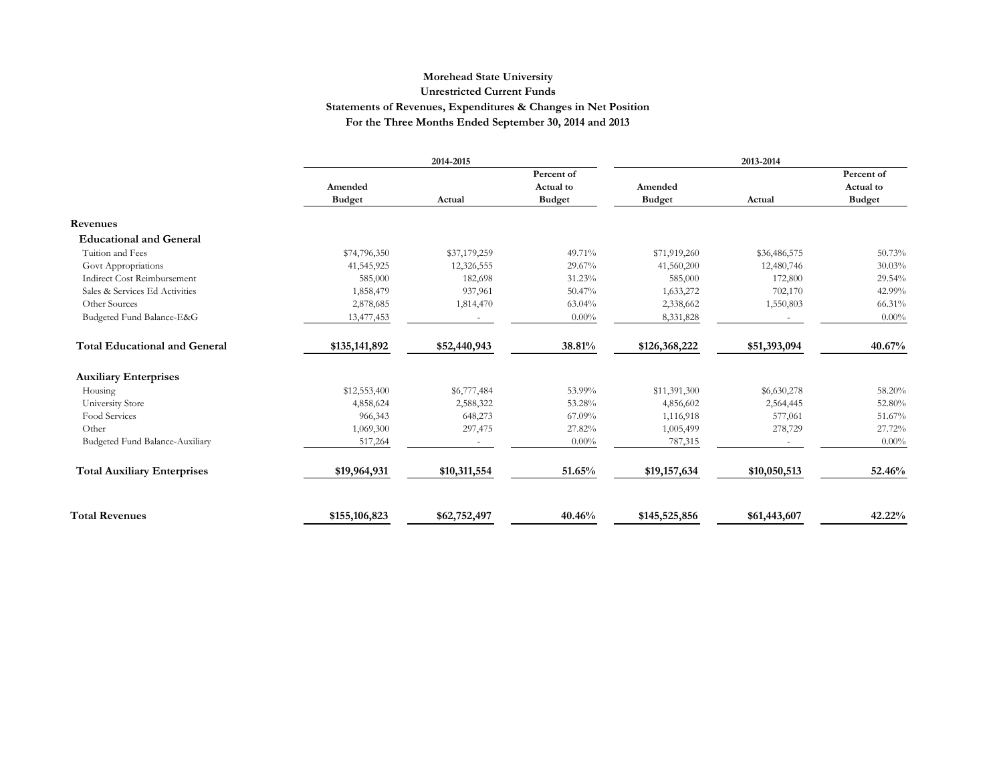#### **Morehead State University Unrestricted Current Funds Statements of Revenues, Expenditures & Changes in Net Position For the Three Months Ended September 30, 2014 and 2013**

|                                      | 2014-2015     |              |               | 2013-2014     |              |               |  |
|--------------------------------------|---------------|--------------|---------------|---------------|--------------|---------------|--|
|                                      |               |              | Percent of    |               |              | Percent of    |  |
|                                      | Amended       |              | Actual to     | Amended       |              | Actual to     |  |
|                                      | <b>Budget</b> | Actual       | <b>Budget</b> | <b>Budget</b> | Actual       | <b>Budget</b> |  |
| Revenues                             |               |              |               |               |              |               |  |
| <b>Educational and General</b>       |               |              |               |               |              |               |  |
| Tuition and Fees                     | \$74,796,350  | \$37,179,259 | 49.71%        | \$71,919,260  | \$36,486,575 | 50.73%        |  |
| Govt Appropriations                  | 41,545,925    | 12,326,555   | 29.67%        | 41,560,200    | 12,480,746   | 30.03%        |  |
| <b>Indirect Cost Reimbursement</b>   | 585,000       | 182,698      | 31.23%        | 585,000       | 172,800      | 29.54%        |  |
| Sales & Services Ed Activities       | 1,858,479     | 937,961      | 50.47%        | 1,633,272     | 702,170      | 42.99%        |  |
| Other Sources                        | 2,878,685     | 1,814,470    | 63.04%        | 2,338,662     | 1,550,803    | 66.31%        |  |
| Budgeted Fund Balance-E&G            | 13,477,453    |              | $0.00\%$      | 8,331,828     |              | $0.00\%$      |  |
| <b>Total Educational and General</b> | \$135,141,892 | \$52,440,943 | 38.81%        | \$126,368,222 | \$51,393,094 | 40.67%        |  |
| <b>Auxiliary Enterprises</b>         |               |              |               |               |              |               |  |
| Housing                              | \$12,553,400  | \$6,777,484  | 53.99%        | \$11,391,300  | \$6,630,278  | 58.20%        |  |
| University Store                     | 4,858,624     | 2,588,322    | 53.28%        | 4,856,602     | 2,564,445    | 52.80%        |  |
| Food Services                        | 966,343       | 648,273      | 67.09%        | 1,116,918     | 577,061      | 51.67%        |  |
| Other                                | 1,069,300     | 297,475      | 27.82%        | 1,005,499     | 278,729      | 27.72%        |  |
| Budgeted Fund Balance-Auxiliary      | 517,264       |              | $0.00\%$      | 787,315       |              | $0.00\%$      |  |
| <b>Total Auxiliary Enterprises</b>   | \$19,964,931  | \$10,311,554 | 51.65%        | \$19,157,634  | \$10,050,513 | 52.46%        |  |
| <b>Total Revenues</b>                | \$155,106,823 | \$62,752,497 | 40.46%        | \$145,525,856 | \$61,443,607 | 42.22%        |  |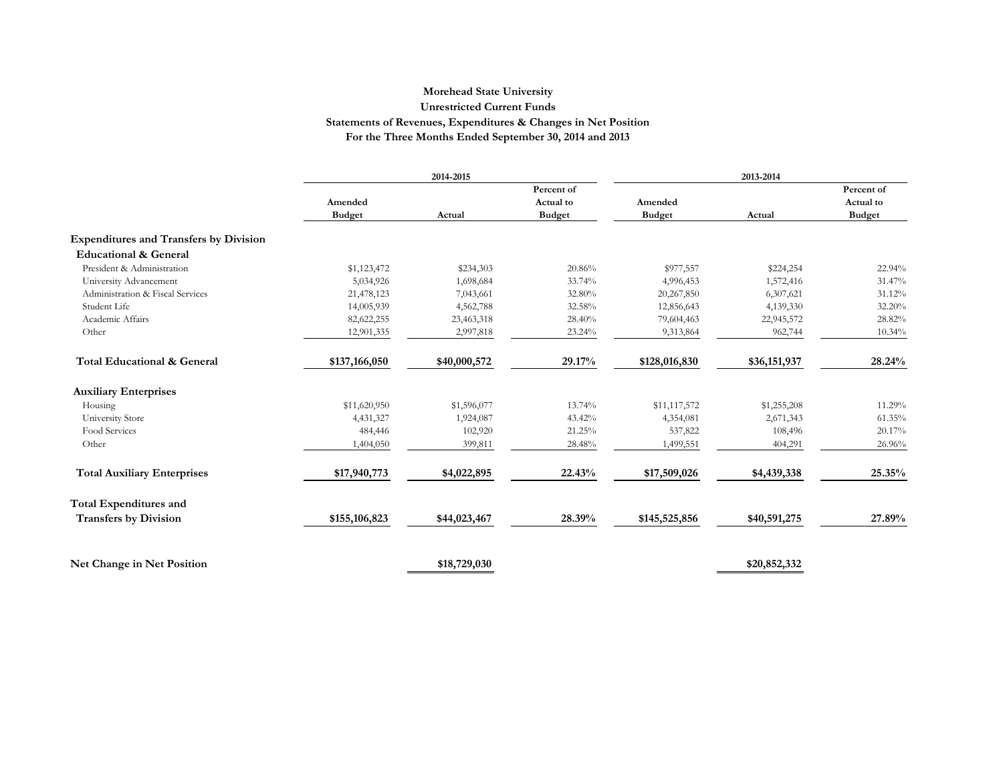#### **Morehead State University Unrestricted Current Funds Statements of Revenues, Expenditures & Changes in Net Position For the Three Months Ended September 30, 2014 and 2013**

|                                               | 2014-2015     |              |               | 2013-2014     |              |               |
|-----------------------------------------------|---------------|--------------|---------------|---------------|--------------|---------------|
|                                               |               |              | Percent of    |               |              | Percent of    |
|                                               | Amended       |              | Actual to     | Amended       |              | Actual to     |
|                                               | <b>Budget</b> | Actual       | <b>Budget</b> | <b>Budget</b> | Actual       | <b>Budget</b> |
| <b>Expenditures and Transfers by Division</b> |               |              |               |               |              |               |
| <b>Educational &amp; General</b>              |               |              |               |               |              |               |
| President & Administration                    | \$1,123,472   | \$234,303    | 20.86%        | \$977,557     | \$224,254    | 22.94%        |
| University Advancement                        | 5,034,926     | 1,698,684    | 33.74%        | 4,996,453     | 1,572,416    | 31.47%        |
| Administration & Fiscal Services              | 21,478,123    | 7,043,661    | 32.80%        | 20,267,850    | 6,307,621    | 31.12%        |
| Student Life                                  | 14,005,939    | 4,562,788    | 32.58%        | 12,856,643    | 4,139,330    | 32.20%        |
| Academic Affairs                              | 82,622,255    | 23,463,318   | 28.40%        | 79,604,463    | 22,945,572   | 28.82%        |
| Other                                         | 12,901,335    | 2,997,818    | 23.24%        | 9,313,864     | 962,744      | 10.34%        |
| <b>Total Educational &amp; General</b>        | \$137,166,050 | \$40,000,572 | 29.17%        | \$128,016,830 | \$36,151,937 | 28.24%        |
| <b>Auxiliary Enterprises</b>                  |               |              |               |               |              |               |
| Housing                                       | \$11,620,950  | \$1,596,077  | 13.74%        | \$11,117,572  | \$1,255,208  | 11.29%        |
| University Store                              | 4,431,327     | 1,924,087    | 43.42%        | 4,354,081     | 2,671,343    | $61.35\%$     |
| Food Services                                 | 484,446       | 102,920      | 21.25%        | 537,822       | 108,496      | 20.17%        |
| Other                                         | 1,404,050     | 399,811      | 28.48%        | 1,499,551     | 404,291      | 26.96%        |
| <b>Total Auxiliary Enterprises</b>            | \$17,940,773  | \$4,022,895  | 22.43%        | \$17,509,026  | \$4,439,338  | 25.35%        |
| <b>Total Expenditures and</b>                 |               |              |               |               |              |               |
| <b>Transfers by Division</b>                  | \$155,106,823 | \$44,023,467 | 28.39%        | \$145,525,856 | \$40,591,275 | 27.89%        |
| Net Change in Net Position                    |               | \$18,729,030 |               |               | \$20,852,332 |               |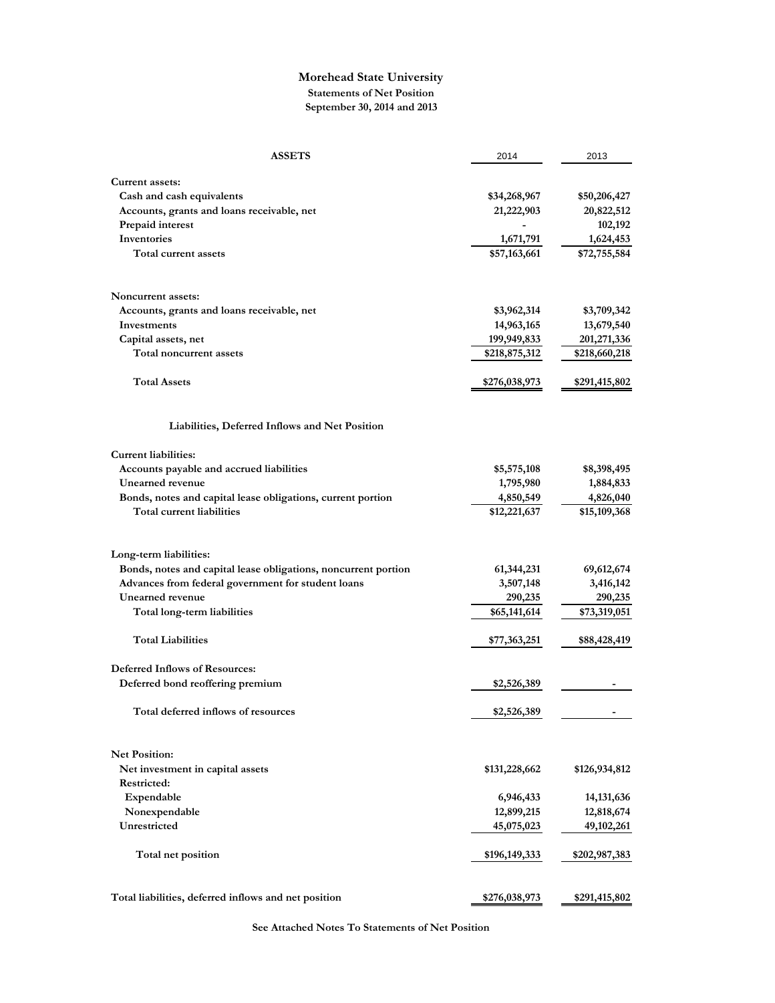#### **Morehead State University Statements of Net Position September 30, 2014 and 2013**

| <b>ASSETS</b>                                                  | 2014          | 2013          |
|----------------------------------------------------------------|---------------|---------------|
|                                                                |               |               |
| Current assets:<br>Cash and cash equivalents                   | \$34,268,967  | \$50,206,427  |
| Accounts, grants and loans receivable, net                     | 21,222,903    | 20,822,512    |
| Prepaid interest                                               |               | 102,192       |
| Inventories                                                    | 1,671,791     | 1,624,453     |
| Total current assets                                           | \$57,163,661  | \$72,755,584  |
|                                                                |               |               |
| Noncurrent assets:                                             |               |               |
| Accounts, grants and loans receivable, net                     | \$3,962,314   | \$3,709,342   |
| Investments                                                    | 14,963,165    | 13,679,540    |
| Capital assets, net                                            | 199,949,833   | 201,271,336   |
| Total noncurrent assets                                        | \$218,875,312 | \$218,660,218 |
| <b>Total Assets</b>                                            | \$276,038,973 | \$291,415,802 |
| Liabilities, Deferred Inflows and Net Position                 |               |               |
| <b>Current liabilities:</b>                                    |               |               |
| Accounts payable and accrued liabilities                       | \$5,575,108   | \$8,398,495   |
| Unearned revenue                                               | 1,795,980     | 1,884,833     |
| Bonds, notes and capital lease obligations, current portion    | 4,850,549     | 4,826,040     |
| Total current liabilities                                      | \$12,221,637  | \$15,109,368  |
| Long-term liabilities:                                         |               |               |
| Bonds, notes and capital lease obligations, noncurrent portion | 61,344,231    | 69,612,674    |
| Advances from federal government for student loans             | 3,507,148     | 3,416,142     |
| Unearned revenue                                               | 290,235       | 290,235       |
| Total long-term liabilities                                    | \$65,141,614  | \$73,319,051  |
| <b>Total Liabilities</b>                                       | \$77,363,251  | \$88,428,419  |
| <b>Deferred Inflows of Resources:</b>                          |               |               |
| Deferred bond reoffering premium                               | \$2,526,389   |               |
| Total deferred inflows of resources                            | \$2,526,389   |               |
| <b>Net Position:</b>                                           |               |               |
| Net investment in capital assets                               | \$131,228,662 | \$126,934,812 |
| Restricted:                                                    |               |               |
| Expendable                                                     | 6,946,433     | 14, 131, 636  |
| Nonexpendable                                                  | 12,899,215    | 12,818,674    |
| Unrestricted                                                   | 45,075,023    | 49, 102, 261  |
| Total net position                                             | \$196,149,333 | \$202,987,383 |
| Total liabilities, deferred inflows and net position           | \$276,038,973 | \$291,415,802 |

 **See Attached Notes To Statements of Net Position**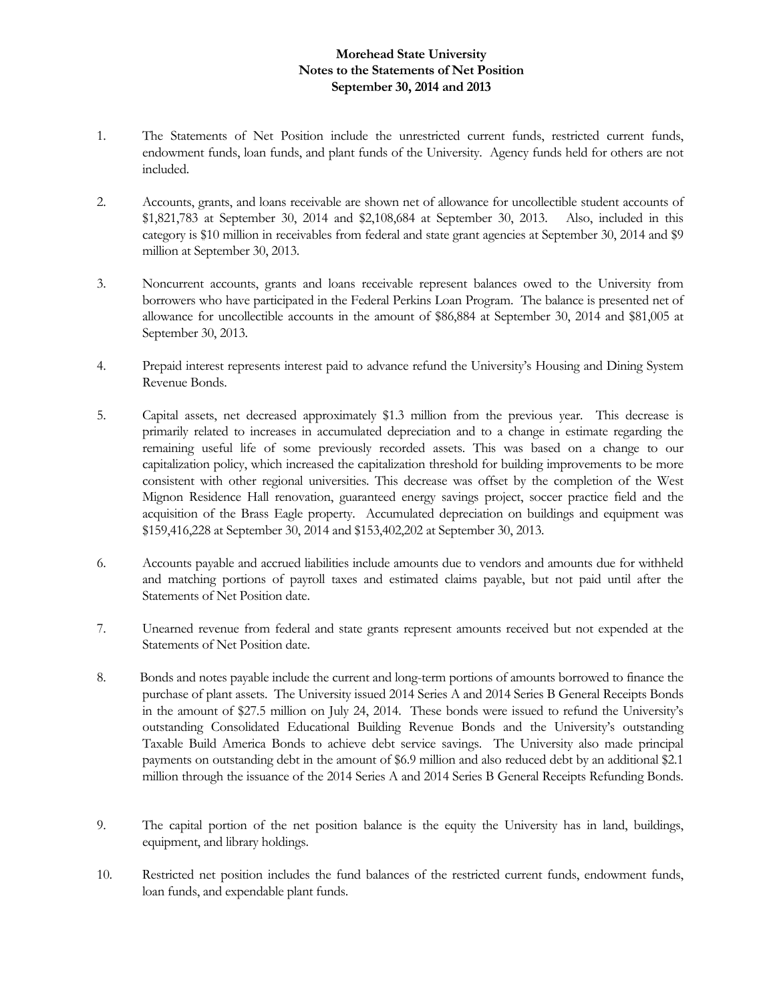## **Morehead State University Notes to the Statements of Net Position September 30, 2014 and 2013**

- 1. The Statements of Net Position include the unrestricted current funds, restricted current funds, endowment funds, loan funds, and plant funds of the University. Agency funds held for others are not included.
- 2. Accounts, grants, and loans receivable are shown net of allowance for uncollectible student accounts of \$1,821,783 at September 30, 2014 and \$2,108,684 at September 30, 2013. Also, included in this category is \$10 million in receivables from federal and state grant agencies at September 30, 2014 and \$9 million at September 30, 2013.
- 3. Noncurrent accounts, grants and loans receivable represent balances owed to the University from borrowers who have participated in the Federal Perkins Loan Program. The balance is presented net of allowance for uncollectible accounts in the amount of \$86,884 at September 30, 2014 and \$81,005 at September 30, 2013.
- 4. Prepaid interest represents interest paid to advance refund the University's Housing and Dining System Revenue Bonds.
- 5. Capital assets, net decreased approximately \$1.3 million from the previous year. This decrease is primarily related to increases in accumulated depreciation and to a change in estimate regarding the remaining useful life of some previously recorded assets. This was based on a change to our capitalization policy, which increased the capitalization threshold for building improvements to be more consistent with other regional universities. This decrease was offset by the completion of the West Mignon Residence Hall renovation, guaranteed energy savings project, soccer practice field and the acquisition of the Brass Eagle property. Accumulated depreciation on buildings and equipment was \$159,416,228 at September 30, 2014 and \$153,402,202 at September 30, 2013.
- 6. Accounts payable and accrued liabilities include amounts due to vendors and amounts due for withheld and matching portions of payroll taxes and estimated claims payable, but not paid until after the Statements of Net Position date.
- 7. Unearned revenue from federal and state grants represent amounts received but not expended at the Statements of Net Position date.
- 8. Bonds and notes payable include the current and long-term portions of amounts borrowed to finance the purchase of plant assets. The University issued 2014 Series A and 2014 Series B General Receipts Bonds in the amount of \$27.5 million on July 24, 2014. These bonds were issued to refund the University's outstanding Consolidated Educational Building Revenue Bonds and the University's outstanding Taxable Build America Bonds to achieve debt service savings. The University also made principal payments on outstanding debt in the amount of \$6.9 million and also reduced debt by an additional \$2.1 million through the issuance of the 2014 Series A and 2014 Series B General Receipts Refunding Bonds.
- 9. The capital portion of the net position balance is the equity the University has in land, buildings, equipment, and library holdings.
- 10. Restricted net position includes the fund balances of the restricted current funds, endowment funds, loan funds, and expendable plant funds.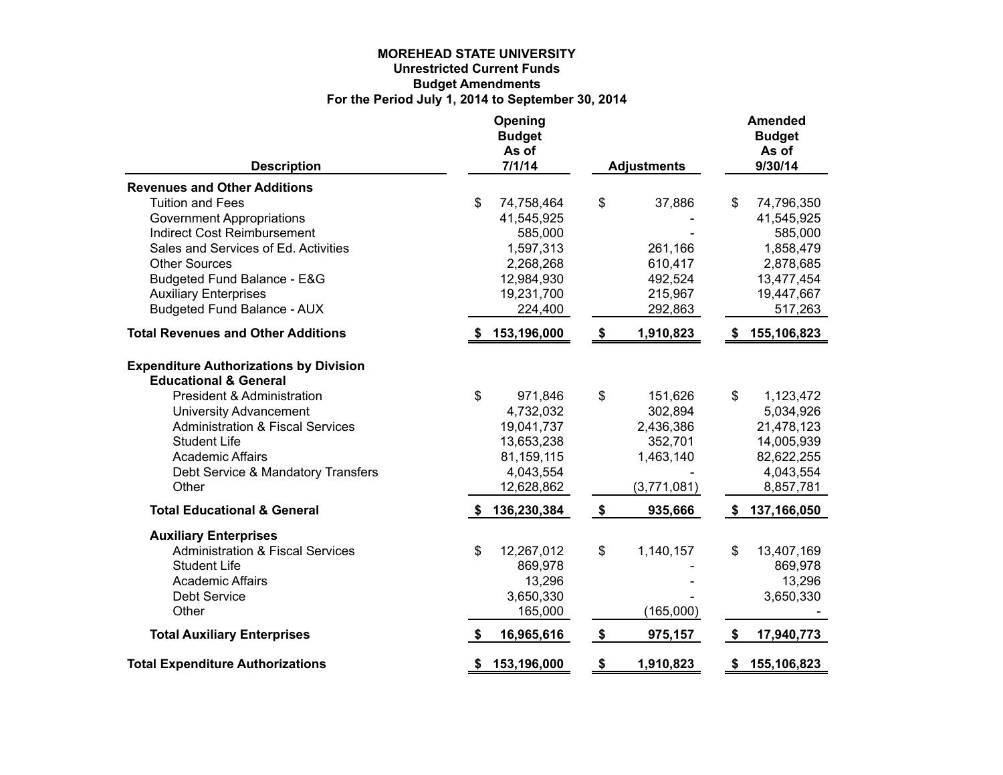#### **MOREHEAD STATE UNIVERSITY Unrestricted Current Funds Budget Amendments For the Period July 1, 2014 to September 30, 2014**

| <b>Description</b>                                                                | Opening<br><b>Budget</b><br>As of<br>7/1/14 | <b>Adjustments</b> | <b>Amended</b><br><b>Budget</b><br>As of<br>9/30/14 |
|-----------------------------------------------------------------------------------|---------------------------------------------|--------------------|-----------------------------------------------------|
| <b>Revenues and Other Additions</b>                                               |                                             |                    |                                                     |
| <b>Tuition and Fees</b>                                                           | \$<br>74,758,464                            | \$<br>37,886       | \$<br>74,796,350                                    |
| <b>Government Appropriations</b>                                                  | 41,545,925                                  |                    | 41,545,925                                          |
| Indirect Cost Reimbursement                                                       | 585,000                                     |                    | 585,000                                             |
| Sales and Services of Ed. Activities                                              | 1,597,313                                   | 261,166            | 1,858,479                                           |
| <b>Other Sources</b>                                                              | 2,268,268                                   | 610,417            | 2,878,685                                           |
| Budgeted Fund Balance - E&G                                                       | 12,984,930                                  | 492,524            | 13,477,454                                          |
| <b>Auxiliary Enterprises</b>                                                      | 19,231,700                                  | 215,967            | 19,447,667                                          |
| <b>Budgeted Fund Balance - AUX</b>                                                | 224,400                                     | 292,863            | 517,263                                             |
| <b>Total Revenues and Other Additions</b>                                         | 153,196,000                                 | \$<br>1,910,823    | \$<br>155,106,823                                   |
| <b>Expenditure Authorizations by Division</b><br><b>Educational &amp; General</b> |                                             |                    |                                                     |
| President & Administration                                                        | \$<br>971,846                               | \$<br>151,626      | \$<br>1,123,472                                     |
| <b>University Advancement</b>                                                     | 4,732,032                                   | 302,894            | 5,034,926                                           |
| <b>Administration &amp; Fiscal Services</b>                                       | 19,041,737                                  | 2,436,386          | 21,478,123                                          |
| <b>Student Life</b>                                                               | 13,653,238                                  | 352,701            | 14,005,939                                          |
| <b>Academic Affairs</b>                                                           | 81, 159, 115                                | 1,463,140          | 82,622,255                                          |
| Debt Service & Mandatory Transfers                                                | 4,043,554                                   |                    | 4,043,554                                           |
| Other                                                                             | 12,628,862                                  | (3,771,081)        | 8,857,781                                           |
| <b>Total Educational &amp; General</b>                                            | 136,230,384                                 | \$<br>935,666      | \$<br>137,166,050                                   |
| <b>Auxiliary Enterprises</b>                                                      |                                             |                    |                                                     |
| <b>Administration &amp; Fiscal Services</b>                                       | \$<br>12,267,012                            | \$<br>1,140,157    | \$<br>13,407,169                                    |
| <b>Student Life</b>                                                               | 869,978                                     |                    | 869,978                                             |
| <b>Academic Affairs</b>                                                           | 13,296                                      |                    | 13,296                                              |
| Debt Service                                                                      | 3,650,330                                   |                    | 3,650,330                                           |
| Other                                                                             | 165,000                                     | (165,000)          |                                                     |
| <b>Total Auxiliary Enterprises</b>                                                | 16,965,616                                  | \$<br>975,157      | \$<br>17,940,773                                    |
| <b>Total Expenditure Authorizations</b>                                           | \$<br>153,196,000                           | \$<br>1,910,823    | \$<br>155,106,823                                   |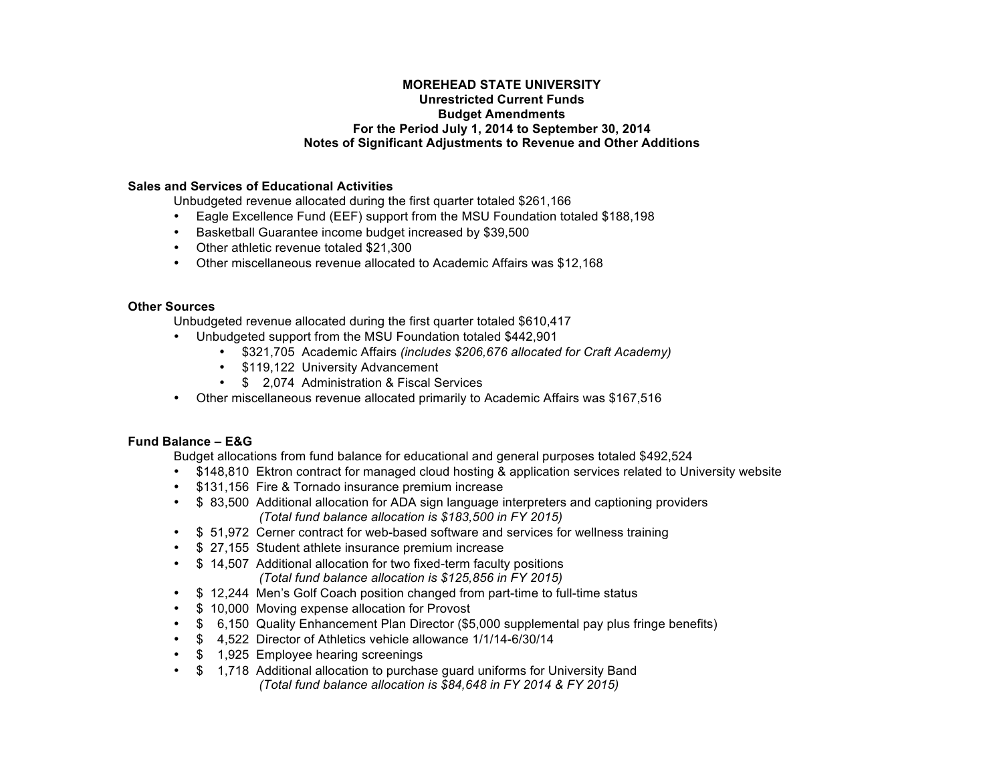#### **MOREHEAD STATE UNIVERSITY Unrestricted Current Funds Budget Amendments For the Period July 1, 2014 to September 30, 2014 Notes of Significant Adjustments to Revenue and Other Additions**

#### **Sales and Services of Educational Activities**

Unbudgeted revenue allocated during the first quarter totaled \$261,166

- Eagle Excellence Fund (EEF) support from the MSU Foundation totaled \$188,198
- Basketball Guarantee income budget increased by \$39,500
- Other athletic revenue totaled \$21,300
- Other miscellaneous revenue allocated to Academic Affairs was \$12,168

#### **Other Sources**

Unbudgeted revenue allocated during the first quarter totaled \$610,417

- Unbudgeted support from the MSU Foundation totaled \$442,901
	- \$321,705 Academic Affairs *(includes \$206,676 allocated for Craft Academy)*
	- \$119,122 University Advancement
	- \$ 2,074 Administration & Fiscal Services
- Other miscellaneous revenue allocated primarily to Academic Affairs was \$167,516

## **Fund Balance – E&G**

Budget allocations from fund balance for educational and general purposes totaled \$492,524

- \$148,810 Ektron contract for managed cloud hosting & application services related to University website
- \$131,156 Fire & Tornado insurance premium increase
- \$ 83,500 Additional allocation for ADA sign language interpreters and captioning providers *(Total fund balance allocation is \$183,500 in FY 2015)*
- \$ 51,972 Cerner contract for web-based software and services for wellness training
- \$ 27,155 Student athlete insurance premium increase
- \$ 14,507 Additional allocation for two fixed-term faculty positions *(Total fund balance allocation is \$125,856 in FY 2015)*
- \$ 12,244 Men's Golf Coach position changed from part-time to full-time status
- \$ 10,000 Moving expense allocation for Provost
- \$ 6,150 Quality Enhancement Plan Director (\$5,000 supplemental pay plus fringe benefits)
- \$ 4,522 Director of Athletics vehicle allowance 1/1/14-6/30/14
- \$ 1,925 Employee hearing screenings
- \$ 1,718 Additional allocation to purchase guard uniforms for University Band *(Total fund balance allocation is \$84,648 in FY 2014 & FY 2015)*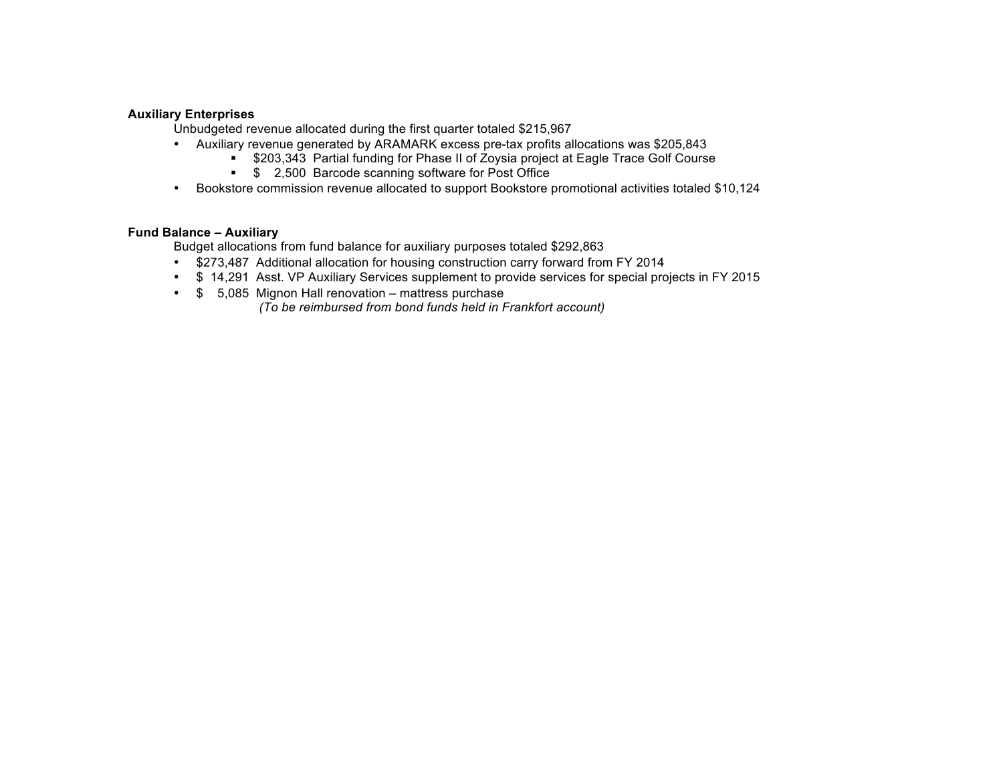#### **Auxiliary Enterprises**

Unbudgeted revenue allocated during the first quarter totaled \$215,967

- Auxiliary revenue generated by ARAMARK excess pre-tax profits allocations was \$205,843
	- § \$203,343 Partial funding for Phase II of Zoysia project at Eagle Trace Golf Course
	- § \$ 2,500 Barcode scanning software for Post Office
- Bookstore commission revenue allocated to support Bookstore promotional activities totaled \$10,124

#### **Fund Balance – Auxiliary**

Budget allocations from fund balance for auxiliary purposes totaled \$292,863

- \$273,487 Additional allocation for housing construction carry forward from FY 2014
- \$ 14,291 Asst. VP Auxiliary Services supplement to provide services for special projects in FY 2015
- \$ 5,085 Mignon Hall renovation mattress purchase

*(To be reimbursed from bond funds held in Frankfort account)*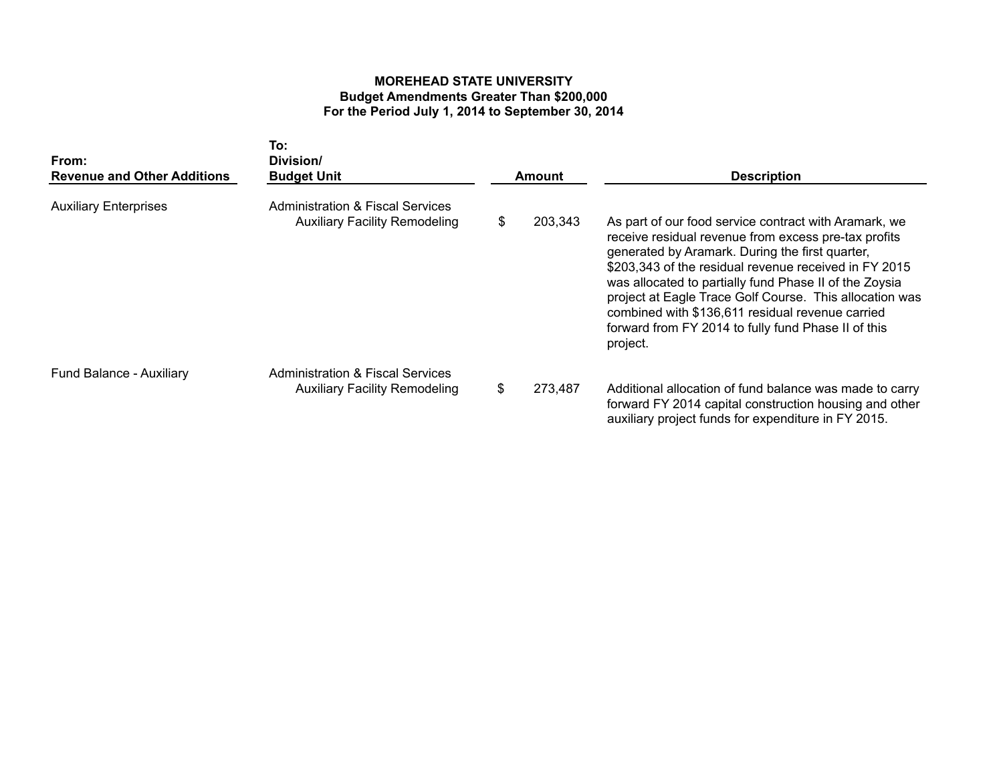## **MOREHEAD STATE UNIVERSITY Budget Amendments Greater Than \$200,000 For the Period July 1, 2014 to September 30, 2014**

| From:<br><b>Revenue and Other Additions</b> | To:<br>Division/<br><b>Budget Unit</b>                                              | <b>Amount</b> | <b>Description</b>                                                                                                                                                                                                                                                                                                                                                                                                                                                    |
|---------------------------------------------|-------------------------------------------------------------------------------------|---------------|-----------------------------------------------------------------------------------------------------------------------------------------------------------------------------------------------------------------------------------------------------------------------------------------------------------------------------------------------------------------------------------------------------------------------------------------------------------------------|
| <b>Auxiliary Enterprises</b>                | <b>Administration &amp; Fiscal Services</b><br><b>Auxiliary Facility Remodeling</b> | \$<br>203,343 | As part of our food service contract with Aramark, we<br>receive residual revenue from excess pre-tax profits<br>generated by Aramark. During the first quarter,<br>\$203,343 of the residual revenue received in FY 2015<br>was allocated to partially fund Phase II of the Zoysia<br>project at Eagle Trace Golf Course. This allocation was<br>combined with \$136,611 residual revenue carried<br>forward from FY 2014 to fully fund Phase II of this<br>project. |
| Fund Balance - Auxiliary                    | <b>Administration &amp; Fiscal Services</b><br><b>Auxiliary Facility Remodeling</b> | \$<br>273,487 | Additional allocation of fund balance was made to carry<br>forward FY 2014 capital construction housing and other<br>auxiliary project funds for expenditure in FY 2015.                                                                                                                                                                                                                                                                                              |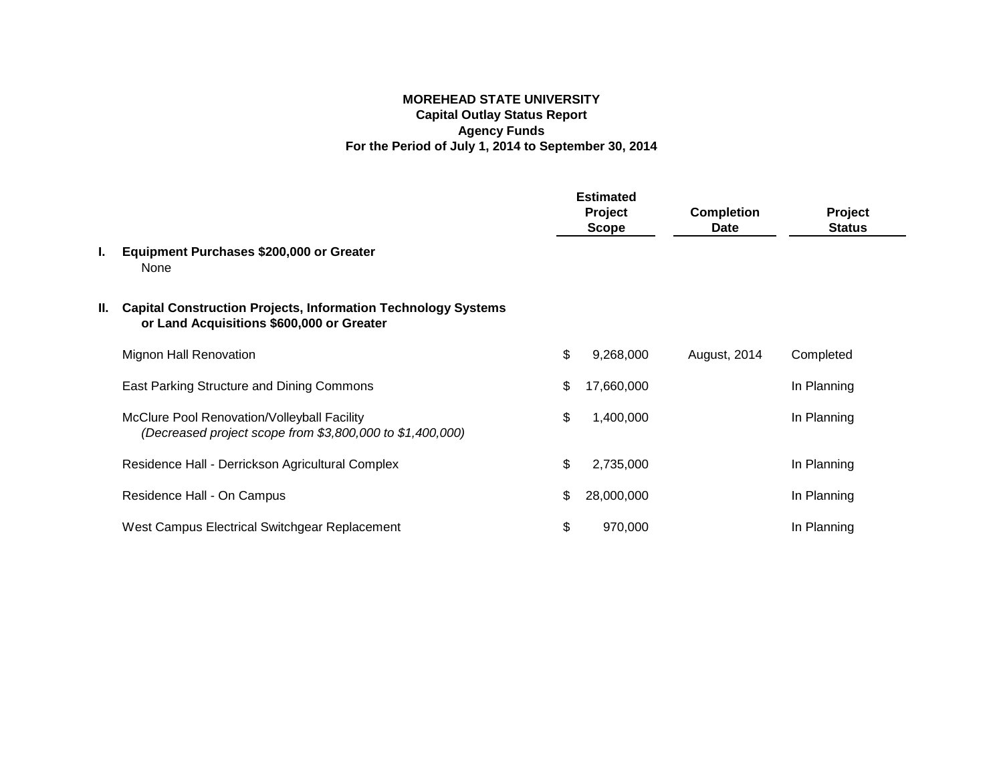# **MOREHEAD STATE UNIVERSITY Capital Outlay Status Report Agency Funds For the Period of July 1, 2014 to September 30, 2014**

|       |                                                                                                                   |     | <b>Estimated</b><br>Project<br><b>Scope</b> | <b>Completion</b><br><b>Date</b> | Project<br><b>Status</b> |
|-------|-------------------------------------------------------------------------------------------------------------------|-----|---------------------------------------------|----------------------------------|--------------------------|
| ı.    | Equipment Purchases \$200,000 or Greater<br>None                                                                  |     |                                             |                                  |                          |
| II. – | <b>Capital Construction Projects, Information Technology Systems</b><br>or Land Acquisitions \$600,000 or Greater |     |                                             |                                  |                          |
|       | <b>Mignon Hall Renovation</b>                                                                                     | \$  | 9,268,000                                   | August, 2014                     | Completed                |
|       | East Parking Structure and Dining Commons                                                                         | \$. | 17,660,000                                  |                                  | In Planning              |
|       | McClure Pool Renovation/Volleyball Facility<br>(Decreased project scope from \$3,800,000 to \$1,400,000)          | \$  | 1,400,000                                   |                                  | In Planning              |
|       | Residence Hall - Derrickson Agricultural Complex                                                                  | \$  | 2,735,000                                   |                                  | In Planning              |
|       | Residence Hall - On Campus                                                                                        | \$  | 28,000,000                                  |                                  | In Planning              |
|       | West Campus Electrical Switchgear Replacement                                                                     | \$  | 970,000                                     |                                  | In Planning              |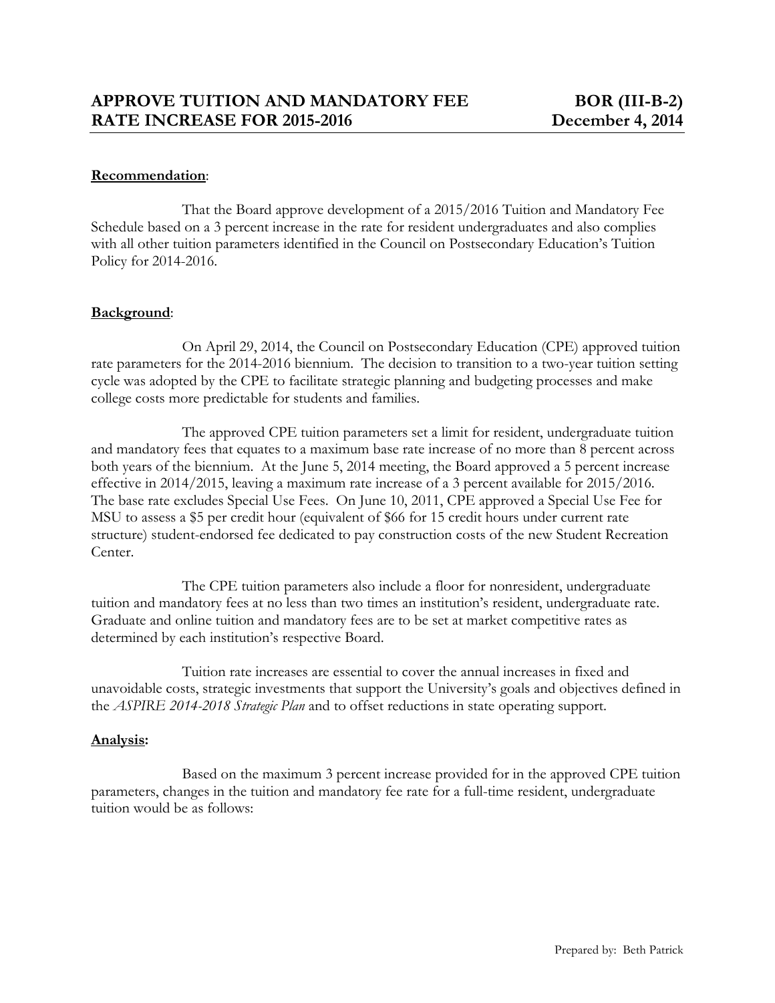That the Board approve development of a 2015/2016 Tuition and Mandatory Fee Schedule based on a 3 percent increase in the rate for resident undergraduates and also complies with all other tuition parameters identified in the Council on Postsecondary Education's Tuition Policy for 2014-2016.

# **Background**:

On April 29, 2014, the Council on Postsecondary Education (CPE) approved tuition rate parameters for the 2014-2016 biennium. The decision to transition to a two-year tuition setting cycle was adopted by the CPE to facilitate strategic planning and budgeting processes and make college costs more predictable for students and families.

The approved CPE tuition parameters set a limit for resident, undergraduate tuition and mandatory fees that equates to a maximum base rate increase of no more than 8 percent across both years of the biennium. At the June 5, 2014 meeting, the Board approved a 5 percent increase effective in 2014/2015, leaving a maximum rate increase of a 3 percent available for 2015/2016. The base rate excludes Special Use Fees. On June 10, 2011, CPE approved a Special Use Fee for MSU to assess a \$5 per credit hour (equivalent of \$66 for 15 credit hours under current rate structure) student-endorsed fee dedicated to pay construction costs of the new Student Recreation Center.

The CPE tuition parameters also include a floor for nonresident, undergraduate tuition and mandatory fees at no less than two times an institution's resident, undergraduate rate. Graduate and online tuition and mandatory fees are to be set at market competitive rates as determined by each institution's respective Board.

Tuition rate increases are essential to cover the annual increases in fixed and unavoidable costs, strategic investments that support the University's goals and objectives defined in the *ASPIRE 2014-2018 Strategic Plan* and to offset reductions in state operating support.

#### **Analysis:**

Based on the maximum 3 percent increase provided for in the approved CPE tuition parameters, changes in the tuition and mandatory fee rate for a full-time resident, undergraduate tuition would be as follows: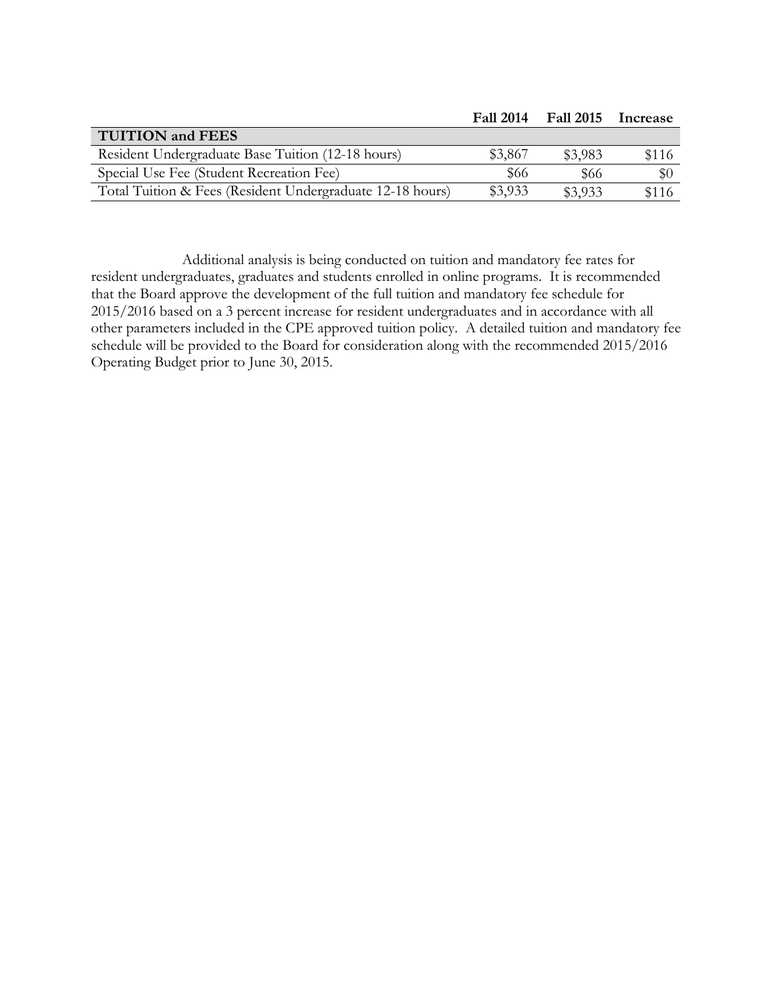|                                                           | <b>Fall 2014</b> | <b>Fall 2015</b> | Increase |
|-----------------------------------------------------------|------------------|------------------|----------|
| <b>TUITION</b> and FEES                                   |                  |                  |          |
| Resident Undergraduate Base Tuition (12-18 hours)         | \$3,867          | \$3,983          | \$116    |
| Special Use Fee (Student Recreation Fee)                  | \$66             | \$66             | $\$0$    |
| Total Tuition & Fees (Resident Undergraduate 12-18 hours) | \$3,933          | \$3,933          | \$116    |

Additional analysis is being conducted on tuition and mandatory fee rates for resident undergraduates, graduates and students enrolled in online programs. It is recommended that the Board approve the development of the full tuition and mandatory fee schedule for 2015/2016 based on a 3 percent increase for resident undergraduates and in accordance with all other parameters included in the CPE approved tuition policy. A detailed tuition and mandatory fee schedule will be provided to the Board for consideration along with the recommended 2015/2016 Operating Budget prior to June 30, 2015.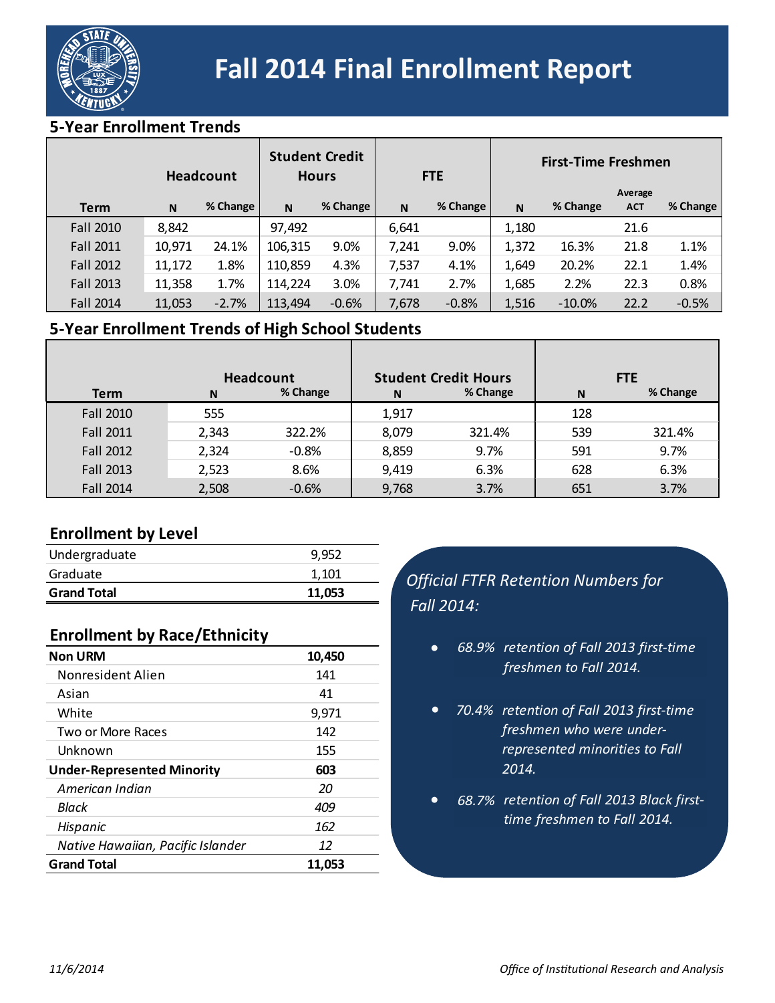

# **5‐Year Enrollment Trends**

|                  |             | <b>Headcount</b> |         | <b>Student Credit</b><br><b>Hours</b> |       | <b>FTE</b> |       | <b>First-Time Freshmen</b> |                       |          |
|------------------|-------------|------------------|---------|---------------------------------------|-------|------------|-------|----------------------------|-----------------------|----------|
| <b>Term</b>      | $\mathbf N$ | % Change         | N       | % Change                              | N     | % Change   | N     | % Change                   | Average<br><b>ACT</b> | % Change |
| <b>Fall 2010</b> | 8,842       |                  | 97,492  |                                       | 6,641 |            | 1,180 |                            | 21.6                  |          |
| <b>Fall 2011</b> | 10,971      | 24.1%            | 106,315 | 9.0%                                  | 7,241 | 9.0%       | 1,372 | 16.3%                      | 21.8                  | 1.1%     |
| <b>Fall 2012</b> | 11,172      | 1.8%             | 110,859 | 4.3%                                  | 7,537 | 4.1%       | 1,649 | 20.2%                      | 22.1                  | 1.4%     |
| <b>Fall 2013</b> | 11,358      | 1.7%             | 114,224 | 3.0%                                  | 7,741 | 2.7%       | 1,685 | 2.2%                       | 22.3                  | 0.8%     |
| <b>Fall 2014</b> | 11,053      | $-2.7%$          | 113,494 | $-0.6%$                               | 7,678 | $-0.8%$    | 1,516 | $-10.0%$                   | 22.2                  | $-0.5%$  |

# **5‐Year Enrollment Trends of High School Students**

|                  | <b>Headcount</b> |          |       | <b>Student Credit Hours</b> |     | <b>FTE</b> |
|------------------|------------------|----------|-------|-----------------------------|-----|------------|
| <b>Term</b>      | N                | % Change | N     | % Change                    | N   | % Change   |
| <b>Fall 2010</b> | 555              |          | 1,917 |                             | 128 |            |
| <b>Fall 2011</b> | 2,343            | 322.2%   | 8,079 | 321.4%                      | 539 | 321.4%     |
| <b>Fall 2012</b> | 2,324            | $-0.8%$  | 8,859 | 9.7%                        | 591 | 9.7%       |
| <b>Fall 2013</b> | 2,523            | 8.6%     | 9,419 | 6.3%                        | 628 | 6.3%       |
| <b>Fall 2014</b> | 2,508            | $-0.6%$  | 9,768 | 3.7%                        | 651 | 3.7%       |

# **Enrollment by Level**

| Undergraduate      | 9,952  |
|--------------------|--------|
| Graduate           | 1.101  |
| <b>Grand Total</b> | 11.053 |

# **Enrollment by Race/Ethnicity** *68.9% retention of Fall <sup>2013</sup> first‐time*

| <b>Non URM</b>                    | 10,450 |
|-----------------------------------|--------|
| Nonresident Alien                 | 141    |
| Asian                             | 41     |
| White                             | 9,971  |
| Two or More Races                 | 142    |
| Unknown                           | 155    |
| <b>Under-Represented Minority</b> | 603    |
| American Indian                   | 20     |
| Black                             | 409    |
| Hispanic                          | 162    |
| Native Hawaiian, Pacific Islander | 12     |
| <b>Grand Total</b>                | 11,053 |

# *Official FTFR Retention Numbers for Fall 2014:*

- *freshmen to Fall 2014.*  $\bullet$
- *70.4% retention of Fall 2013 first‐time freshmen who were under‐ represented minorities to Fall 2014.*
- *68.7% retention of Fall 2013 Black first‐ time freshmen to Fall 2014.*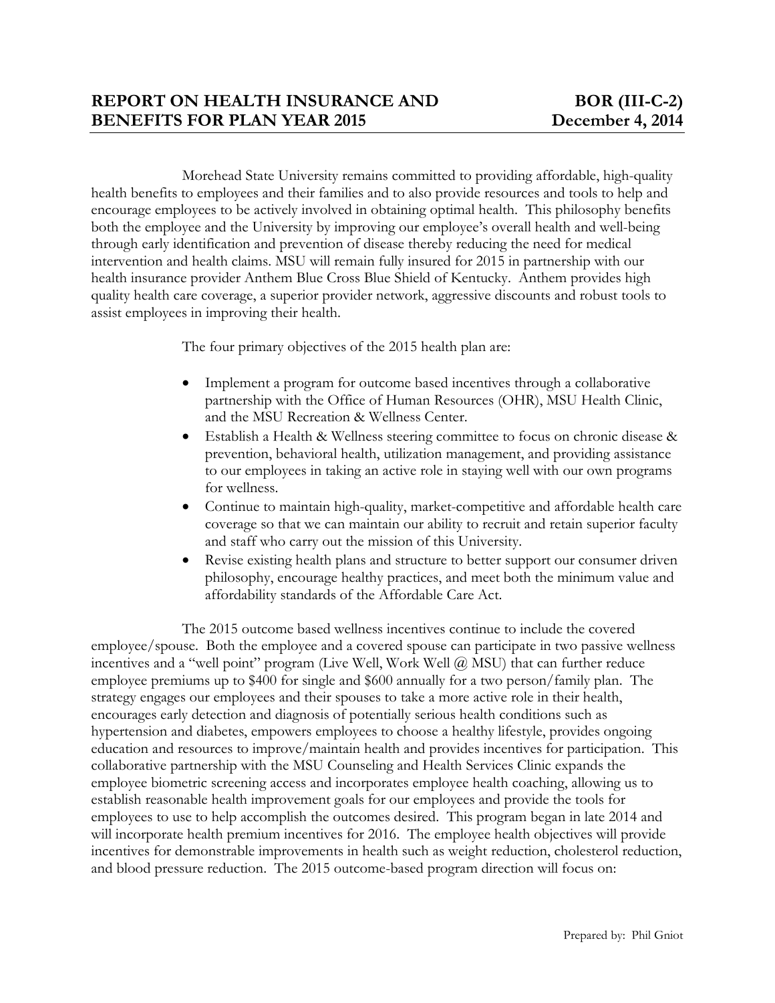Morehead State University remains committed to providing affordable, high-quality health benefits to employees and their families and to also provide resources and tools to help and encourage employees to be actively involved in obtaining optimal health. This philosophy benefits both the employee and the University by improving our employee's overall health and well-being through early identification and prevention of disease thereby reducing the need for medical intervention and health claims. MSU will remain fully insured for 2015 in partnership with our health insurance provider Anthem Blue Cross Blue Shield of Kentucky. Anthem provides high quality health care coverage, a superior provider network, aggressive discounts and robust tools to assist employees in improving their health.

The four primary objectives of the 2015 health plan are:

- Implement a program for outcome based incentives through a collaborative partnership with the Office of Human Resources (OHR), MSU Health Clinic, and the MSU Recreation & Wellness Center.
- Establish a Health & Wellness steering committee to focus on chronic disease & prevention, behavioral health, utilization management, and providing assistance to our employees in taking an active role in staying well with our own programs for wellness.
- Continue to maintain high-quality, market-competitive and affordable health care coverage so that we can maintain our ability to recruit and retain superior faculty and staff who carry out the mission of this University.
- Revise existing health plans and structure to better support our consumer driven philosophy, encourage healthy practices, and meet both the minimum value and affordability standards of the Affordable Care Act.

The 2015 outcome based wellness incentives continue to include the covered employee/spouse. Both the employee and a covered spouse can participate in two passive wellness incentives and a "well point" program (Live Well, Work Well @ MSU) that can further reduce employee premiums up to \$400 for single and \$600 annually for a two person/family plan. The strategy engages our employees and their spouses to take a more active role in their health, encourages early detection and diagnosis of potentially serious health conditions such as hypertension and diabetes, empowers employees to choose a healthy lifestyle, provides ongoing education and resources to improve/maintain health and provides incentives for participation. This collaborative partnership with the MSU Counseling and Health Services Clinic expands the employee biometric screening access and incorporates employee health coaching, allowing us to establish reasonable health improvement goals for our employees and provide the tools for employees to use to help accomplish the outcomes desired. This program began in late 2014 and will incorporate health premium incentives for 2016. The employee health objectives will provide incentives for demonstrable improvements in health such as weight reduction, cholesterol reduction, and blood pressure reduction. The 2015 outcome-based program direction will focus on: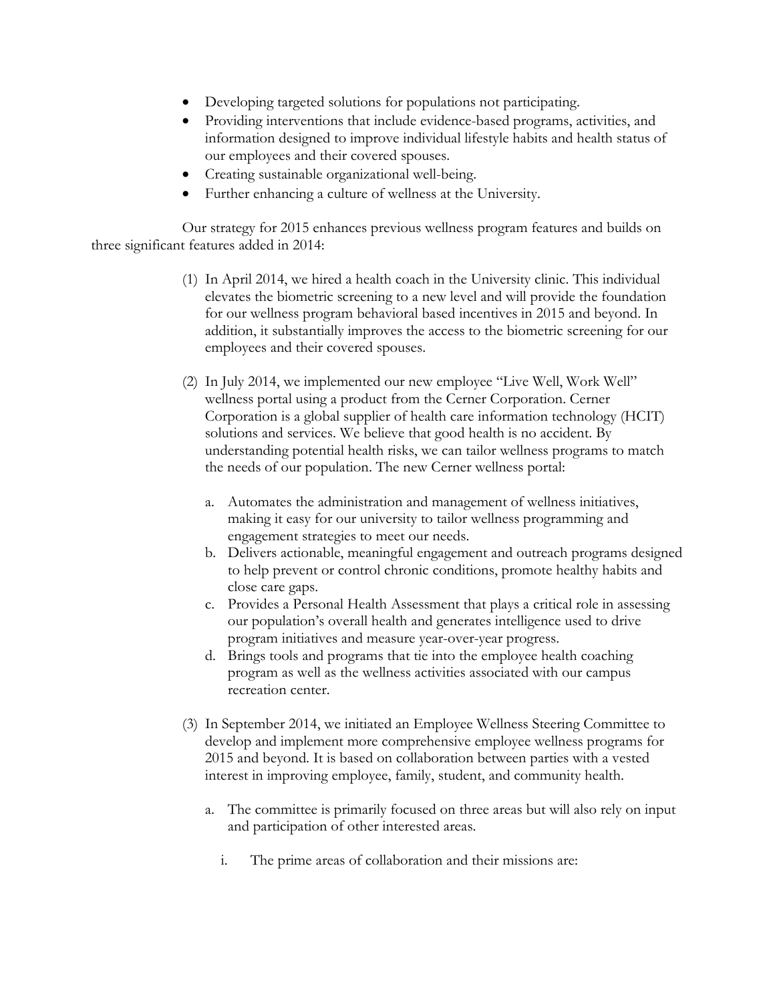- Developing targeted solutions for populations not participating.
- Providing interventions that include evidence-based programs, activities, and information designed to improve individual lifestyle habits and health status of our employees and their covered spouses.
- Creating sustainable organizational well-being.
- Further enhancing a culture of wellness at the University.

Our strategy for 2015 enhances previous wellness program features and builds on three significant features added in 2014:

- (1) In April 2014, we hired a health coach in the University clinic. This individual elevates the biometric screening to a new level and will provide the foundation for our wellness program behavioral based incentives in 2015 and beyond. In addition, it substantially improves the access to the biometric screening for our employees and their covered spouses.
- (2) In July 2014, we implemented our new employee "Live Well, Work Well" wellness portal using a product from the Cerner Corporation. Cerner Corporation is a global supplier of health care information technology (HCIT) solutions and services. We believe that good health is no accident. By understanding potential health risks, we can tailor wellness programs to match the needs of our population. The new Cerner wellness portal:
	- a. Automates the administration and management of wellness initiatives, making it easy for our university to tailor wellness programming and engagement strategies to meet our needs.
	- b. Delivers actionable, meaningful engagement and outreach programs designed to help prevent or control chronic conditions, promote healthy habits and close care gaps.
	- c. Provides a Personal Health Assessment that plays a critical role in assessing our population's overall health and generates intelligence used to drive program initiatives and measure year-over-year progress.
	- d. Brings tools and programs that tie into the employee health coaching program as well as the wellness activities associated with our campus recreation center.
- (3) In September 2014, we initiated an Employee Wellness Steering Committee to develop and implement more comprehensive employee wellness programs for 2015 and beyond. It is based on collaboration between parties with a vested interest in improving employee, family, student, and community health.
	- a. The committee is primarily focused on three areas but will also rely on input and participation of other interested areas.
		- i. The prime areas of collaboration and their missions are: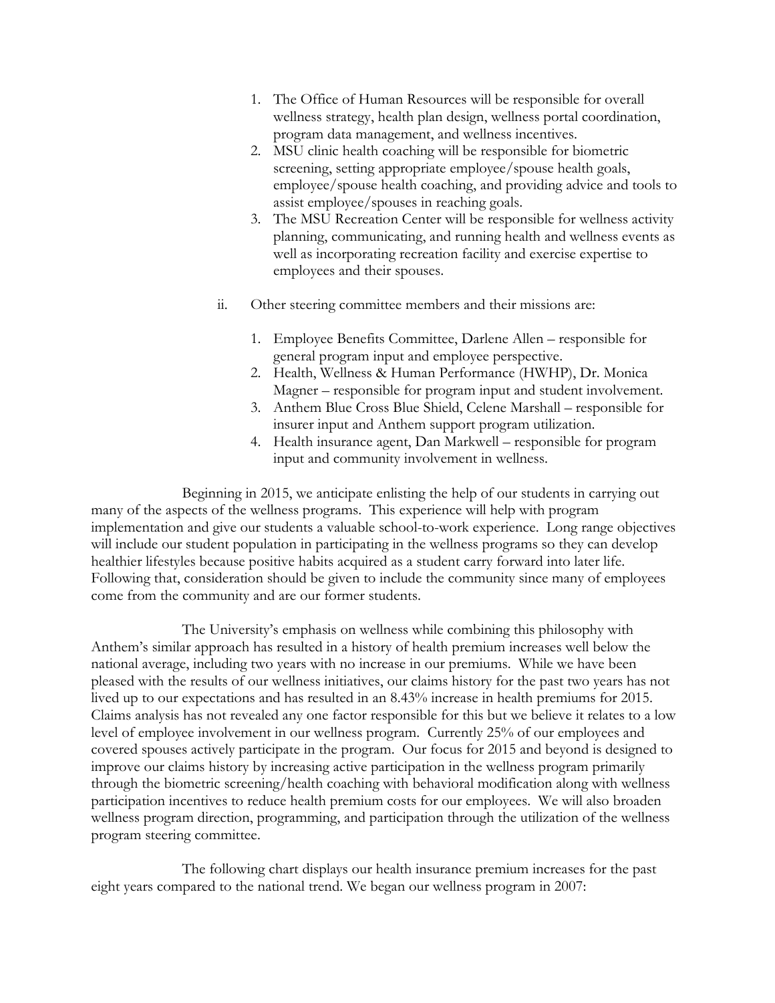- 1. The Office of Human Resources will be responsible for overall wellness strategy, health plan design, wellness portal coordination, program data management, and wellness incentives.
- 2. MSU clinic health coaching will be responsible for biometric screening, setting appropriate employee/spouse health goals, employee/spouse health coaching, and providing advice and tools to assist employee/spouses in reaching goals.
- 3. The MSU Recreation Center will be responsible for wellness activity planning, communicating, and running health and wellness events as well as incorporating recreation facility and exercise expertise to employees and their spouses.
- ii. Other steering committee members and their missions are:
	- 1. Employee Benefits Committee, Darlene Allen responsible for general program input and employee perspective.
	- 2. Health, Wellness & Human Performance (HWHP), Dr. Monica Magner – responsible for program input and student involvement.
	- 3. Anthem Blue Cross Blue Shield, Celene Marshall responsible for insurer input and Anthem support program utilization.
	- 4. Health insurance agent, Dan Markwell responsible for program input and community involvement in wellness.

Beginning in 2015, we anticipate enlisting the help of our students in carrying out many of the aspects of the wellness programs. This experience will help with program implementation and give our students a valuable school-to-work experience. Long range objectives will include our student population in participating in the wellness programs so they can develop healthier lifestyles because positive habits acquired as a student carry forward into later life. Following that, consideration should be given to include the community since many of employees come from the community and are our former students.

The University's emphasis on wellness while combining this philosophy with Anthem's similar approach has resulted in a history of health premium increases well below the national average, including two years with no increase in our premiums. While we have been pleased with the results of our wellness initiatives, our claims history for the past two years has not lived up to our expectations and has resulted in an 8.43% increase in health premiums for 2015. Claims analysis has not revealed any one factor responsible for this but we believe it relates to a low level of employee involvement in our wellness program. Currently 25% of our employees and covered spouses actively participate in the program. Our focus for 2015 and beyond is designed to improve our claims history by increasing active participation in the wellness program primarily through the biometric screening/health coaching with behavioral modification along with wellness participation incentives to reduce health premium costs for our employees. We will also broaden wellness program direction, programming, and participation through the utilization of the wellness program steering committee.

The following chart displays our health insurance premium increases for the past eight years compared to the national trend. We began our wellness program in 2007: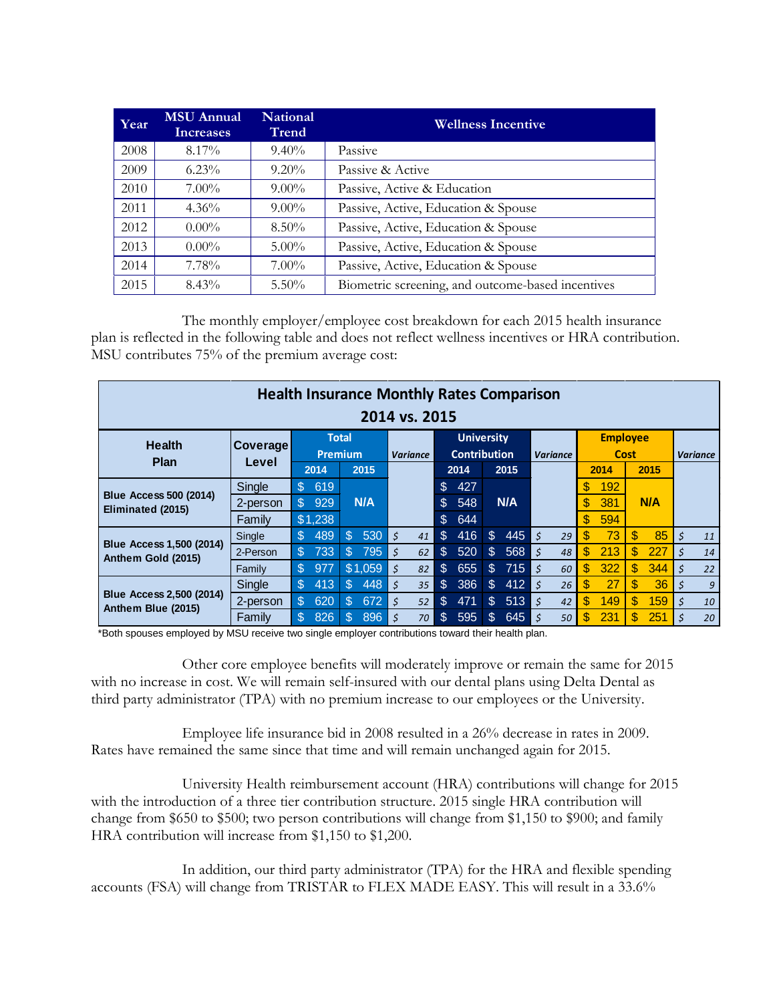| Year | <b>MSU Annual</b><br><b>Increases</b> | <b>National</b><br>Trend | <b>Wellness Incentive</b>                         |
|------|---------------------------------------|--------------------------|---------------------------------------------------|
| 2008 | 8.17%                                 | $9.40\%$                 | Passive                                           |
| 2009 | $6.23\%$                              | $9.20\%$                 | Passive & Active                                  |
| 2010 | $7.00\%$                              | $9.00\%$                 | Passive, Active & Education                       |
| 2011 | $4.36\%$                              | $9.00\%$                 | Passive, Active, Education & Spouse               |
| 2012 | $0.00\%$                              | $8.50\%$                 | Passive, Active, Education & Spouse               |
| 2013 | $0.00\%$                              | $5.00\%$                 | Passive, Active, Education & Spouse               |
| 2014 | 7.78%                                 | $7.00\%$                 | Passive, Active, Education & Spouse               |
| 2015 | $8.43\%$                              | $5.50\%$                 | Biometric screening, and outcome-based incentives |

The monthly employer/employee cost breakdown for each 2015 health insurance plan is reflected in the following table and does not reflect wellness incentives or HRA contribution. MSU contributes 75% of the premium average cost:

| <b>Health Insurance Monthly Rates Comparison</b><br>2014 vs. 2015 |                          |                         |     |                     |                     |                                          |      |               |                      |    |                         |           |      |              |                 |               |    |
|-------------------------------------------------------------------|--------------------------|-------------------------|-----|---------------------|---------------------|------------------------------------------|------|---------------|----------------------|----|-------------------------|-----------|------|--------------|-----------------|---------------|----|
| <b>Health</b><br>Plan                                             | <b>Coverage</b><br>Level | <b>Total</b><br>Premium |     |                     | <b>Variance</b>     | <b>University</b><br><b>Contribution</b> |      |               | <b>Variance</b>      |    | <b>Employee</b><br>Cost |           |      |              | <b>Variance</b> |               |    |
|                                                                   |                          | 2014                    |     | 2015                |                     |                                          | 2014 |               | 2015                 |    |                         |           | 2014 |              | 2015            |               |    |
| <b>Blue Access 500 (2014)</b><br>Eliminated (2015)                | Single                   | $\mathbb{S}$            | 619 |                     |                     | \$<br>427                                |      |               |                      | \$ | 192                     |           |      |              |                 |               |    |
|                                                                   | 2-person                 | $\mathbb{S}$            | 929 | N/A                 |                     | \$                                       | 548  | N/A           |                      |    |                         | \$<br>381 |      | N/A          |                 |               |    |
|                                                                   | Family                   | \$1,238                 |     |                     |                     | \$                                       | 644  |               |                      |    |                         | \$        | 594  |              |                 |               |    |
| Blue Access 1,500 (2014)<br>Anthem Gold (2015)                    | Single                   | $\mathcal{S}$           | 489 | $\mathbb{S}$<br>530 | $\mathsf{S}$<br>41  | $\mathcal{S}$                            | 416  | $\mathbb{S}$  | $445 \, \text{s}$    |    | 29                      | \$        | 73   | $\mathbb{S}$ | 85              | $\mathsf{S}$  | 11 |
|                                                                   | 2-Person                 | \$                      | 733 | \$<br>795           | Ś.<br>62            | \$                                       | 520  | \$            | 568                  | S. | 48                      |           | 213  | $\mathbb{S}$ | 227             | Ś             | 14 |
|                                                                   | Family                   | $\mathbb{S}$            | 977 | \$1,059             | Ś.<br>82            | \$                                       | 655  | \$            | $715$ $\overline{s}$ |    | 60                      |           | 322  | \$           | 344             | $\mathcal{S}$ | 22 |
| Blue Access 2,500 (2014)<br>Anthem Blue (2015)                    | Single                   | $\mathbb{S}$            | 413 | \$.<br>448          | S.<br>35            | \$                                       | 386  | $\$\$         | 412                  | S. | 26                      |           | 27   | \$           | 36              | Ś             | 9  |
|                                                                   | 2-person                 | $\mathbb{S}$            | 620 | $\mathbb{S}$<br>672 | Ś.<br>52            | \$                                       | 471  | $\mathcal{S}$ | 513                  | S. | 42                      | \$        | 149  | \$           | 159             | \$            | 10 |
|                                                                   | Family                   | $\mathcal{S}$           | 826 | \$<br>896           | $\mathcal{S}$<br>70 | \$                                       | 595  | \$            | 645                  | Ś  | 50                      |           | 231  | \$           | 251             | \$            | 20 |

\*Both spouses employed by MSU receive two single employer contributions toward their health plan.

Other core employee benefits will moderately improve or remain the same for 2015 with no increase in cost. We will remain self-insured with our dental plans using Delta Dental as third party administrator (TPA) with no premium increase to our employees or the University.

Employee life insurance bid in 2008 resulted in a 26% decrease in rates in 2009. Rates have remained the same since that time and will remain unchanged again for 2015.

University Health reimbursement account (HRA) contributions will change for 2015 with the introduction of a three tier contribution structure. 2015 single HRA contribution will change from \$650 to \$500; two person contributions will change from \$1,150 to \$900; and family HRA contribution will increase from \$1,150 to \$1,200.

In addition, our third party administrator (TPA) for the HRA and flexible spending accounts (FSA) will change from TRISTAR to FLEX MADE EASY. This will result in a 33.6%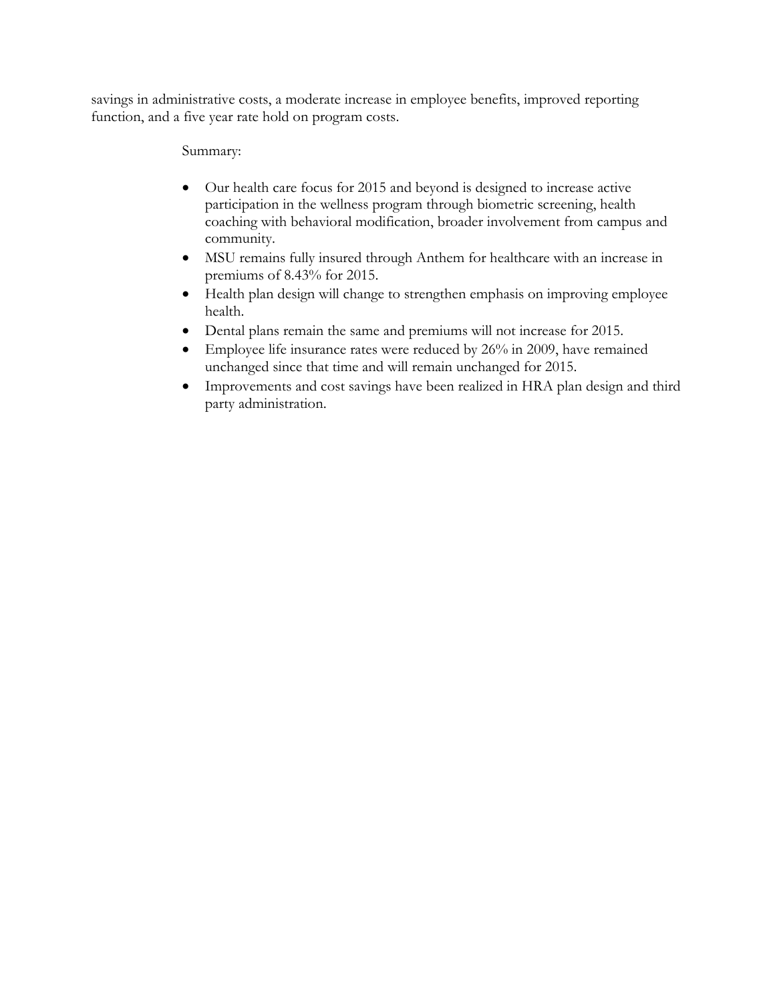savings in administrative costs, a moderate increase in employee benefits, improved reporting function, and a five year rate hold on program costs.

Summary:

- Our health care focus for 2015 and beyond is designed to increase active participation in the wellness program through biometric screening, health coaching with behavioral modification, broader involvement from campus and community.
- MSU remains fully insured through Anthem for healthcare with an increase in premiums of 8.43% for 2015.
- Health plan design will change to strengthen emphasis on improving employee health.
- Dental plans remain the same and premiums will not increase for 2015.
- Employee life insurance rates were reduced by 26% in 2009, have remained unchanged since that time and will remain unchanged for 2015.
- Improvements and cost savings have been realized in HRA plan design and third party administration.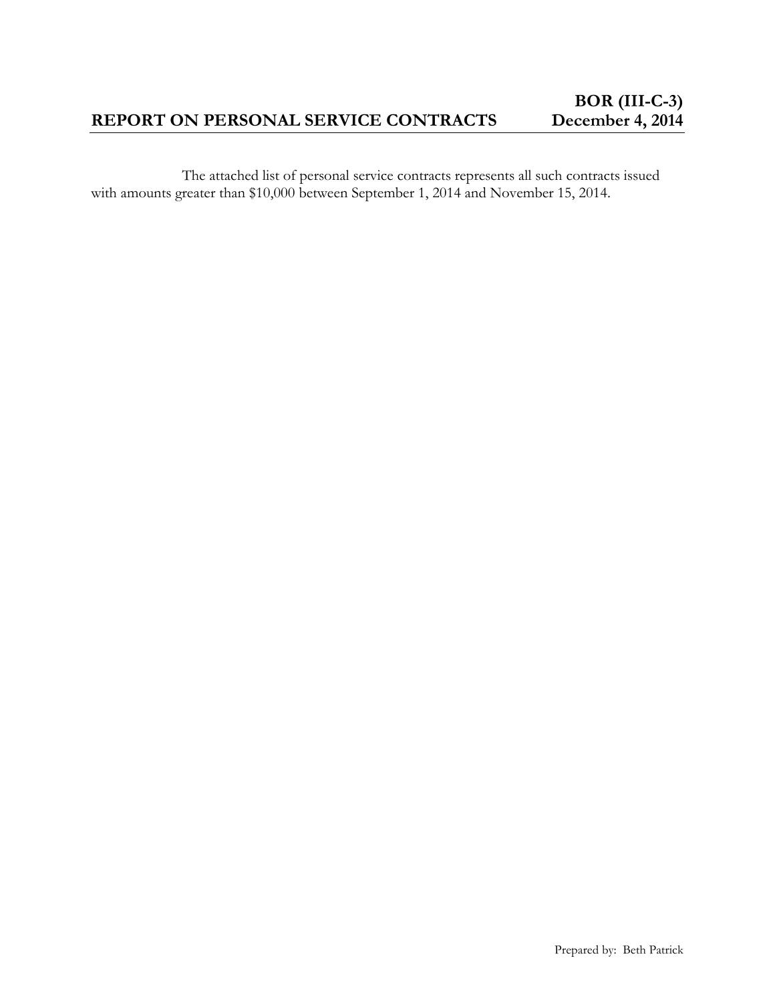The attached list of personal service contracts represents all such contracts issued with amounts greater than \$10,000 between September 1, 2014 and November 15, 2014.